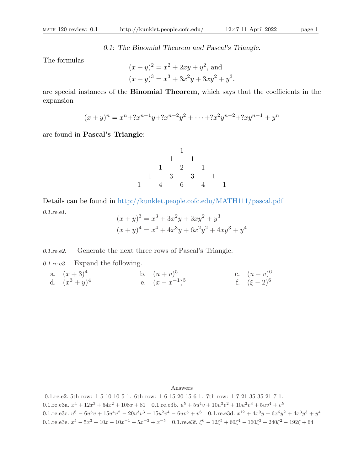0.1: The Binomial Theorem and Pascal's Triangle.

The formulas

$$
(x + y)^2 = x^2 + 2xy + y^2
$$
, and  
\n $(x + y)^3 = x^3 + 3x^2y + 3xy^2 + y^3$ .

are special instances of the Binomial Theorem, which says that the coefficients in the expansion

 $(x + y)^n = x^n + 2x^{n-1}y + 2x^{n-2}y^2 + \dots + 2x^2y^{n-2} + 2xy^{n-1} + y^n$ 

are found in Pascal's Triangle:

1 1 1 1 2 1 1 3 3 1 1 4 6 4 1

Details can be found in http://kunklet.people.cofc.edu/MATH111/pascal.pdf 0.1.re.e1.  $\alpha$ 

$$
(x + y)3 = x3 + 3x2y + 3xy2 + y3
$$
  

$$
(x + y)4 = x4 + 4x3y + 6x2y2 + 4xy3 + y4
$$

0.1.re.e2. Generate the next three rows of Pascal's Triangle.

0.1.re.e3. Expand the following.

a. 
$$
(x+3)^4
$$
  
d.  $(x^3+y)^4$   
b.  $(u+v)^5$   
e.  $(x-x^{-1})^5$   
f.  $(\xi-2)^6$ 

Answers

0.1.re.e2. 5th row: 1 5 10 10 5 1. 6th row: 1 6 15 20 15 6 1. 7th row: 1 7 21 35 35 21 7 1. 0.1.re.e3a.  $x^4 + 12x^3 + 54x^2 + 108x + 81$  0.1.re.e3b.  $u^5 + 5u^4v + 10u^3v^2 + 10u^2v^3 + 5uv^4 + v^5$ 0.1.re.e3c.  $u^6 - 6u^5v + 15u^4v^2 - 20u^3v^3 + 15u^2v^4 - 6uv^5 + v^6$  0.1.re.e3d.  $x^{12} + 4x^9y + 6x^6y^2 + 4x^3y^3 + y^4$ 0.1.re.e3e.  $x^5 - 5x^3 + 10x - 10x^{-1} + 5x^{-3} + x^{-5}$  0.1.re.e3f.  $\xi^6 - 12\xi^5 + 60\xi^4 - 160\xi^3 + 240\xi^2 - 192\xi + 64$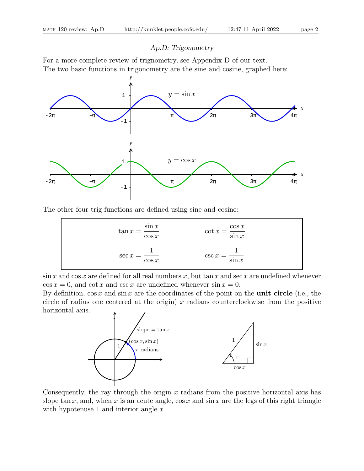# Ap.D: Trigonometry

For a more complete review of trignometry, see Appendix D of our text. The two basic functions in trigonometry are the sine and cosine, graphed here:



The other four trig functions are defined using sine and cosine:

| $\tan x = \frac{\sin x}{x}$<br>$\cos x$ | $\cot x = \frac{\cos x}{\sin x}$ |
|-----------------------------------------|----------------------------------|
| $\sec x =$<br>$\cos x$                  | $\csc x =$ —<br>$\sin x$         |

 $\sin x$  and  $\cos x$  are defined for all real numbers x, but  $\tan x$  and  $\sec x$  are undefined whenever  $\cos x = 0$ , and  $\cot x$  and  $\csc x$  are undefined whenever  $\sin x = 0$ .

By definition,  $\cos x$  and  $\sin x$  are the coordinates of the point on the **unit circle** (i.e., the circle of radius one centered at the origin)  $x$  radians counterclockwise from the positive horizontal axis.



Consequently, the ray through the origin  $x$  radians from the positive horizontal axis has slope tan x, and, when x is an acute angle,  $\cos x$  and  $\sin x$  are the legs of this right triangle with hypotenuse 1 and interior angle  $x$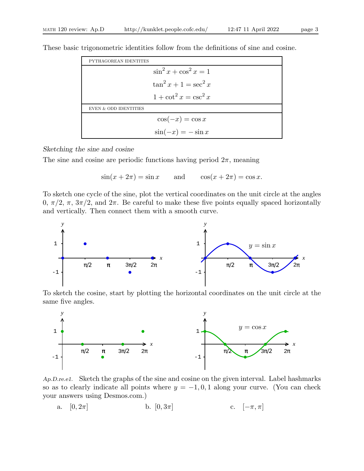| PYTHAGOREAN IDENTITES |                           |  |
|-----------------------|---------------------------|--|
|                       | $\sin^2 x + \cos^2 x = 1$ |  |
|                       | $\tan^2 x + 1 = \sec^2 x$ |  |
|                       | $1+\cot^2 x=\csc^2 x$     |  |
| EVEN & ODD IDENTITIES |                           |  |
|                       | $\cos(-x) = \cos x$       |  |
|                       | $\sin(-x) = -\sin x$      |  |

These basic trigonometric identities follow from the definitions of sine and cosine.

## Sketching the sine and cosine

The sine and cosine are periodic functions having period  $2\pi$ , meaning

$$
\sin(x + 2\pi) = \sin x \qquad \text{and} \qquad \cos(x + 2\pi) = \cos x.
$$

To sketch one cycle of the sine, plot the vertical coordinates on the unit circle at the angles 0,  $\pi/2$ ,  $\pi$ ,  $3\pi/2$ , and  $2\pi$ . Be careful to make these five points equally spaced horizontally and vertically. Then connect them with a smooth curve.



To sketch the cosine, start by plotting the horizontal coordinates on the unit circle at the same five angles.



Ap.D.re.e1. Sketch the graphs of the sine and cosine on the given interval. Label hashmarks so as to clearly indicate all points where  $y = -1, 0, 1$  along your curve. (You can check your answers using Desmos.com.)

a. 
$$
[0, 2\pi]
$$
 b.  $[0, 3\pi]$  c.  $[-\pi, \pi]$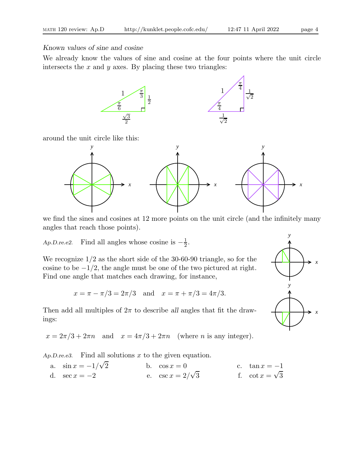Known values of sine and cosine

We already know the values of sine and cosine at the four points where the unit circle intersects the  $x$  and  $y$  axes. By placing these two triangles:



around the unit circle like this:



we find the sines and cosines at 12 more points on the unit circle (and the infinitely many angles that reach those points).

Ap.D.re.e2. Find all angles whose cosine is  $-\frac{1}{2}$  $\frac{1}{2}$ .

We recognize 1/2 as the short side of the 30-60-90 triangle, so for the cosine to be  $-1/2$ , the angle must be one of the two pictured at right. Find one angle that matches each drawing, for instance,

$$
x = \pi - \pi/3 = 2\pi/3
$$
 and  $x = \pi + \pi/3 = 4\pi/3$ .

Then add all multiples of  $2\pi$  to describe all angles that fit the drawings:

 $x = 2\pi/3 + 2\pi n$  and  $x = 4\pi/3 + 2\pi n$  (where *n* is any integer).

Ap.D.re.e3. Find all solutions  $x$  to the given equation.

| a. $\sin x = -1/\sqrt{2}$ | b. $\cos x = 0$          | c. $\tan x = -1$       |
|---------------------------|--------------------------|------------------------|
| d. $\sec x = -2$          | e. $\csc x = 2/\sqrt{3}$ | f. $\cot x = \sqrt{3}$ |

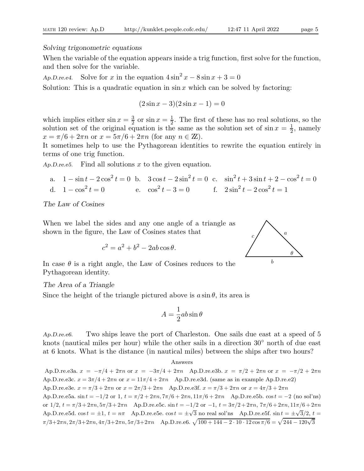## Solving trigonometric equations

When the variable of the equation appears inside a trig function, first solve for the function, and then solve for the variable.

Ap.D.re.e4. Solve for x in the equation  $4\sin^2 x - 8\sin x + 3 = 0$ 

Solution: This is a quadratic equation in  $\sin x$  which can be solved by factoring:

$$
(2\sin x - 3)(2\sin x - 1) = 0
$$

which implies either  $\sin x = \frac{3}{2}$  $\frac{3}{2}$  or  $\sin x = \frac{1}{2}$  $\frac{1}{2}$ . The first of these has no real solutions, so the solution set of the original equation is the same as the solution set of  $\sin x = \frac{1}{2}$  $\frac{1}{2}$ , namely  $x = \pi/6 + 2\pi n$  or  $x = 5\pi/6 + 2\pi n$  (for any  $n \in \mathbb{Z}$ ).

It sometimes help to use the Pythagorean identities to rewrite the equation entirely in terms of one trig function.

Ap.D.re.e5. Find all solutions x to the given equation.

a. 
$$
1 - \sin t - 2\cos^2 t = 0
$$
 b.  $3\cos t - 2\sin^2 t = 0$  c.  $\sin^2 t + 3\sin t + 2 - \cos^2 t = 0$   
d.  $1 - \cos^2 t = 0$  e.  $\cos^2 t - 3 = 0$  f.  $2\sin^2 t - 2\cos^2 t = 1$ 

The Law of Cosines

When we label the sides and any one angle of a triangle as shown in the figure, the Law of Cosines states that

$$
c^2 = a^2 + b^2 - 2ab\cos\theta.
$$



The Area of a Triangle

Since the height of the triangle pictured above is  $a \sin \theta$ , its area is

$$
A = \frac{1}{2}ab\sin\theta
$$

Ap.D.re.e6. Two ships leave the port of Charleston. One sails due east at a speed of 5 knots (nautical miles per hour) while the other sails in a direction 30◦ north of due east at 6 knots. What is the distance (in nautical miles) between the ships after two hours?

Answers

Ap.D.re.e3a.  $x = -\pi/4 + 2\pi n$  or  $x = -3\pi/4 + 2\pi n$  Ap.D.re.e3b.  $x = \pi/2 + 2\pi n$  or  $x = -\pi/2 + 2\pi n$ Ap.D.re.e3c.  $x = 3\pi/4 + 2\pi n$  or  $x = 11\pi/4 + 2\pi n$  Ap.D.re.e3d. (same as in example Ap.D.re.e2) Ap.D.re.e3e.  $x = \pi/3 + 2\pi n$  or  $x = 2\pi/3 + 2\pi n$  Ap.D.re.e3f.  $x = \pi/3 + 2\pi n$  or  $x = 4\pi/3 + 2\pi n$ Ap.D.re.e5a.  $\sin t = -1/2$  or  $1, t = \pi/2 + 2\pi n, 7\pi/6 + 2\pi n, 11\pi/6 + 2\pi n$  Ap.D.re.e5b.  $\cos t = -2$  (no sol'ns) or  $1/2$ ,  $t = \pi/3 + 2\pi n$ ,  $5\pi/3 + 2\pi n$  Ap.D.re.e5c. sin  $t = -1/2$  or  $-1$ ,  $t = 3\pi/2 + 2\pi n$ ,  $7\pi/6 + 2\pi n$ ,  $11\pi/6 + 2\pi n$ Ap.D.re.e5d.  $\cos t = \pm 1$ ,  $t = n\pi$  Ap.D.re.e5e.  $\cos t = \pm \sqrt{3}$  no real sol'ns Ap.D.re.e5f.  $\sin t = \pm \sqrt{3}/2$ ,  $t =$  $\pi/3+2\pi n, 2\pi/3+2\pi n, 4\pi/3+2\pi n, 5\pi/3+2\pi n$  Ap.D.re.e6.  $\sqrt{100+144-2\cdot 10\cdot 12\cos\pi/6} = \sqrt{244-120\sqrt{3}}$ 

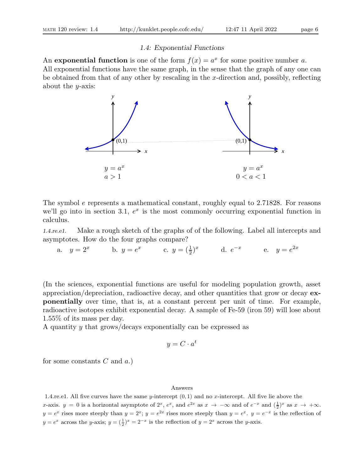## 1.4: Exponential Functions

An **exponential function** is one of the form  $f(x) = a^x$  for some positive number a. All exponential functions have the same graph, in the sense that the graph of any one can be obtained from that of any other by rescaling in the x-direction and, possibly, reflecting about the  $y$ -axis:



The symbol e represents a mathematical constant, roughly equal to 2.71828. For reasons we'll go into in section 3.1,  $e^x$  is the most commonly occurring exponential function in calculus.

1.4.re.e1. Make a rough sketch of the graphs of of the following. Label all intercepts and asymptotes. How do the four graphs compare?

a.  $y = 2^x$  b.  $y = e^x$  c.  $y = (\frac{1}{2})^x$  d.  $e^{-x}$  e.  $y = e^{2x}$ 

(In the sciences, exponential functions are useful for modeling population growth, asset appreciation/depreciation, radioactive decay, and other quantities that grow or decay exponentially over time, that is, at a constant percent per unit of time. For example, radioactive isotopes exhibit exponential decay. A sample of Fe-59 (iron 59) will lose about 1.55% of its mass per day.

A quantity y that grows/decays exponentially can be expressed as

$$
y = C \cdot a^t
$$

for some constants  $C$  and  $a$ .)

### Answers

1.4.re.e1. All five curves have the same y-intercept  $(0, 1)$  and no x-intercept. All five lie above the x-axis.  $y = 0$  is a horizontal asymptote of  $2^x$ ,  $e^x$ , and  $e^{2x}$  as  $x \to -\infty$  and of  $e^{-x}$  and  $(\frac{1}{2})^x$  as  $x \to +\infty$ .  $y = e^x$  rises more steeply than  $y = 2^x$ ;  $y = e^{2x}$  rises more steeply than  $y = e^x$ .  $y = e^{-x}$  is the reflection of  $y = e^x$  across the y-axis;  $y = (\frac{1}{2})^x = 2^{-x}$  is the reflection of  $y = 2^x$  across the y-axis.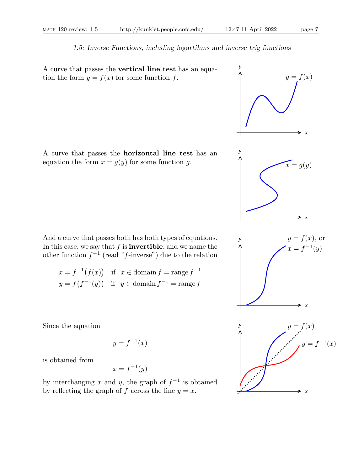# 1.5: Inverse Functions, including logartihms and inverse trig functions

A curve that passes the vertical line test has an equation the form  $y = f(x)$  for some function f.  $y = f(x)$ 

A curve that passes the horizontal line test has an equation the form  $x = g(y)$  for some function g.  $x = g(y)$ 

And a curve that passes both has both types of equations. In this case, we say that  $f$  is **invertible**, and we name the other function  $f^{-1}$  (read "f-inverse") due to the relation

$$
x = f^{-1}(f(x)) \text{ if } x \in \text{domain } f = \text{range } f^{-1}
$$
  

$$
y = f(f^{-1}(y)) \text{ if } y \in \text{domain } f^{-1} = \text{range } f
$$

Since the equation

$$
y = f^{-1}(x)
$$

is obtained from

$$
x = f^{-1}(y)
$$

by interchanging x and y, the graph of  $f^{-1}$  is obtained by reflecting the graph of f across the line  $y = x$ .

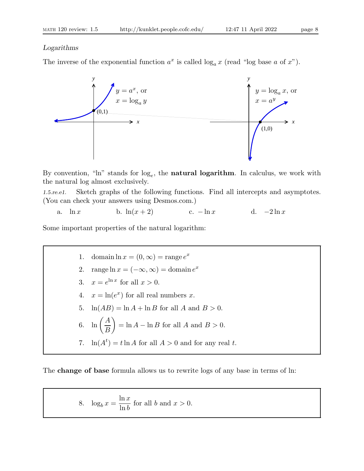# Logarithms

The inverse of the exponential function  $a^x$  is called  $\log_a x$  (read "log base a of x").



By convention, " $\ln$ " stands for  $\log_e$ , the **natural logarithm**. In calculus, we work with the natural log almost exclusively.

1.5.re.e1. Sketch graphs of the following functions. Find all intercepts and asymptotes. (You can check your answers using Desmos.com.)

a.  $\ln x$  b.  $\ln(x+2)$  c.  $-\ln x$  d.  $-2\ln x$ 

Some important properties of the natural logarithm:

\n- 1. domain 
$$
\ln x = (0, \infty) = \text{range } e^x
$$
\n- 2. range  $\ln x = (-\infty, \infty) = \text{domain } e^x$
\n- 3.  $x = e^{\ln x}$  for all  $x > 0$ .
\n- 4.  $x = \ln(e^x)$  for all real numbers  $x$ .
\n- 5.  $\ln(AB) = \ln A + \ln B$  for all  $A$  and  $B > 0$ .
\n- 6.  $\ln\left(\frac{A}{B}\right) = \ln A - \ln B$  for all  $A$  and  $B > 0$ .
\n- 7.  $\ln(A^t) = t \ln A$  for all  $A > 0$  and for any real  $t$ .
\n

The change of base formula allows us to rewrite logs of any base in terms of ln:

8. 
$$
\log_b x = \frac{\ln x}{\ln b}
$$
 for all b and  $x > 0$ .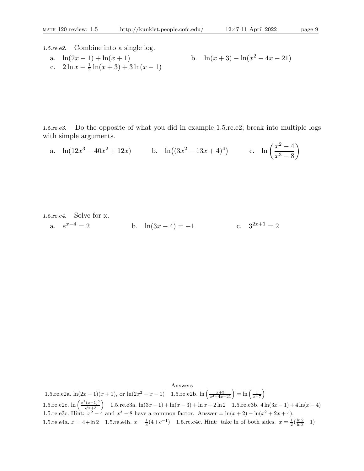1.5.re.e2. Combine into a single log.

a.  $\ln(2x - 1) + \ln(x + 1)$ c.  $2 \ln x - \frac{1}{2}$  $\frac{1}{2}\ln(x+3) + 3\ln(x-1)$ 

b. 
$$
\ln(x+3) - \ln(x^2 - 4x - 21)
$$

1.5.re.e3. Do the opposite of what you did in example 1.5.re.e2; break into multiple logs with simple arguments.

a. 
$$
\ln(12x^3 - 40x^2 + 12x)
$$
 b.  $\ln((3x^2 - 13x + 4)^4)$  c.  $\ln(\frac{x^2 - 4}{x^3 - 8})$ 

1.5. *re.e4.* Solve for x.  
a. 
$$
e^{x-4} = 2
$$
 b.  $ln(3x - 4) = -1$  c.  $3^{2x+1} = 2$ 

Answers

1.5.re.e2a.  $\ln(2x-1)(x+1)$ , or  $\ln(2x^2+x-1)$  1.5.re.e2b.  $\ln\left(\frac{x+3}{x^2-4x-21}\right) = \ln\left(\frac{1}{x-7}\right)$  $\setminus$ 1.5.re.e2c.  $\ln\left(\frac{x^2(x-1)^3}{\sqrt{x+3}}\right)$  1.5.re.e3a.  $\ln(3x-1) + \ln(x-3) + \ln x + 2\ln 2$  1.5.re.e3b.  $4\ln(3x-1) + 4\ln(x-4)$ 1.5.re.e3c. Hint:  $x^2 - 4$  and  $x^3 - 8$  have a common factor. Answer =  $\ln(x + 2) - \ln(x^2 + 2x + 4)$ . 1.5.re.e4a.  $x = 4 + \ln 2$  1.5.re.e4b.  $x = \frac{1}{3}(4 + e^{-1})$  1.5.re.e4c. Hint: take ln of both sides.  $x = \frac{1}{2}(\frac{\ln 2}{\ln 3} - 1)$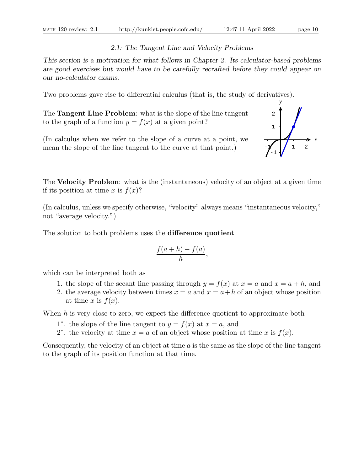# 2.1: The Tangent Line and Velocity Problems

This section is a motivation for what follows in Chapter 2. Its calculator-based problems are good exercises but would have to be carefully recrafted before they could appear on our no-calculator exams.

Two problems gave rise to differential calculus (that is, the study of derivatives).

The Tangent Line Problem: what is the slope of the line tangent to the graph of a function  $y = f(x)$  at a given point?

(In calculus when we refer to the slope of a curve at a point, we mean the slope of the line tangent to the curve at that point.)

The **Velocity Problem**: what is the (instantaneous) velocity of an object at a given time if its position at time x is  $f(x)$ ?

(In calculus, unless we specify otherwise, "velocity" always means "instantaneous velocity," not "average velocity.")

The solution to both problems uses the difference quotient

$$
\frac{f(a+h)-f(a)}{h},
$$

which can be interpreted both as

- 1. the slope of the secant line passing through  $y = f(x)$  at  $x = a$  and  $x = a + h$ , and
- 2. the average velocity between times  $x = a$  and  $x = a + h$  of an object whose position at time x is  $f(x)$ .

When  $h$  is very close to zero, we expect the difference quotient to approximate both

- 1<sup>\*</sup>, the slope of the line tangent to  $y = f(x)$  at  $x = a$ , and
- 2<sup>\*</sup>, the velocity at time  $x = a$  of an object whose position at time x is  $f(x)$ .

Consequently, the velocity of an object at time  $a$  is the same as the slope of the line tangent to the graph of its position function at that time.

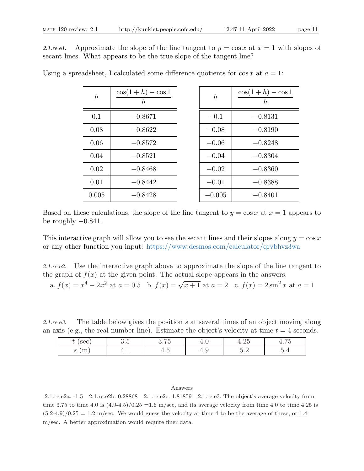2.1.re.e1. Approximate the slope of the line tangent to  $y = \cos x$  at  $x = 1$  with slopes of secant lines. What appears to be the true slope of the tangent line?

| $\boldsymbol{h}$ | $\cos(1+h) - \cos 1$<br>$\hbar$ | $\boldsymbol{h}$ | $\cos(1+h) - \cos 1$<br>$\hbar$ |
|------------------|---------------------------------|------------------|---------------------------------|
| 0.1              | $-0.8671$                       | $-0.1$           | $-0.8131$                       |
| 0.08             | $-0.8622$                       | $-0.08$          | $-0.8190$                       |
| 0.06             | $-0.8572$                       | $-0.06$          | $-0.8248$                       |
| 0.04             | $-0.8521$                       | $-0.04$          | $-0.8304$                       |
| 0.02             | $-0.8468$                       | $-0.02$          | $-0.8360$                       |
| 0.01             | $-0.8442$                       | $-0.01$          | $-0.8388$                       |
| 0.005            | $-0.8428$                       | $-0.005$         | $-0.8401$                       |

Using a spreadsheet, I calculated some difference quotients for  $\cos x$  at  $a = 1$ :

Based on these calculations, the slope of the line tangent to  $y = \cos x$  at  $x = 1$  appears to be roughly  $-0.841$ .

This interactive graph will allow you to see the secant lines and their slopes along  $y = \cos x$ or any other function you input: https://www.desmos.com/calculator/qrvbhvz3wa

2.1.re.e2. Use the interactive graph above to approximate the slope of the line tangent to the graph of  $f(x)$  at the given point. The actual slope appears in the answers.

a. 
$$
f(x) = x^4 - 2x^2
$$
 at  $a = 0.5$  b.  $f(x) = \sqrt{x+1}$  at  $a = 2$  c.  $f(x) = 2\sin^2 x$  at  $a = 1$ 

2.1.re.e3. The table below gives the position s at several times of an object moving along an axis (e.g., the real number line). Estimate the object's velocity at time  $t = 4$  seconds.

| sec                    | -<br>$\mathbf{u} \cdot \mathbf{v}$ | $- -$<br>$\sim$<br>U. I ∪       | $\sim$<br>7. U | $\Omega$ Б<br>∸<br>ש⊿.±      | $- -$<br>せ・1 ワ                  |
|------------------------|------------------------------------|---------------------------------|----------------|------------------------------|---------------------------------|
| $\mathbf{v}$<br>-<br>ப | <b>I.L</b>                         | $\overline{\phantom{0}}$<br>+.∪ | —т.∙           | $\tilde{\phantom{a}}$<br>ບ.∠ | $\overline{\phantom{0}}$<br>∪.⊤ |

### Answers

2.1.re.e2a. -1.5 2.1.re.e2b. 0.28868 2.1.re.e2c. 1.81859 2.1.re.e3. The object's average velocity from time 3.75 to time 4.0 is  $(4.9-4.5)/0.25 = 1.6$  m/sec, and its average velocity from time 4.0 to time 4.25 is  $(5.2-4.9)/0.25 = 1.2$  m/sec. We would guess the velocity at time 4 to be the average of these, or 1.4 m/sec. A better approximation would require finer data.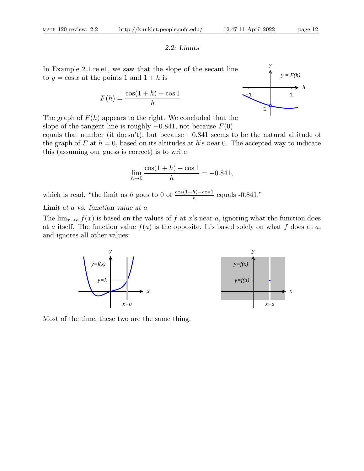# 2.2: Limits

In Example 2.1.re.e1, we saw that the slope of the secant line to  $y = \cos x$  at the points 1 and  $1 + h$  is

$$
F(h) = \frac{\cos(1+h) - \cos 1}{h}
$$



The graph of  $F(h)$  appears to the right. We concluded that the slope of the tangent line is roughly  $-0.841$ , not because  $F(0)$ 

equals that number (it doesn't), but because  $-0.841$  seems to be the natural altitude of the graph of F at  $h = 0$ , based on its altitudes at h's near 0. The accepted way to indicate this (assuming our guess is correct) is to write

$$
\lim_{h \to 0} \frac{\cos(1+h) - \cos 1}{h} = -0.841,
$$

which is read, "the limit as h goes to 0 of  $\frac{\cos(1+h)-\cos 1}{h}$  equals -0.841."

Limit at a vs. function value at a

The  $\lim_{x\to a} f(x)$  is based on the values of f at x's near a, ignoring what the function does at a itself. The function value  $f(a)$  is the opposite. It's based solely on what f does at a, and ignores all other values:





Most of the time, these two are the same thing.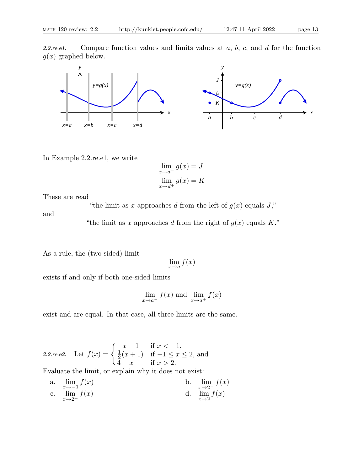2.2.re.e1. Compare function values and limits values at  $a, b, c$ , and  $d$  for the function  $g(x)$  graphed below.



In Example 2.2.re.e1, we write

$$
\lim_{x \to d^{-}} g(x) = J
$$
  

$$
\lim_{x \to d^{+}} g(x) = K
$$

These are read

"the limit as x approaches d from the left of  $g(x)$  equals J,"

and

"the limit as x approaches d from the right of  $g(x)$  equals K."

As a rule, the (two-sided) limit

$$
\lim_{x \to a} f(x)
$$

exists if and only if both one-sided limits

$$
\lim_{x \to a^{-}} f(x) \text{ and } \lim_{x \to a^{+}} f(x)
$$

exist and are equal. In that case, all three limits are the same.

2.2.re.e2. Let <sup>f</sup>(x) = ( <sup>−</sup><sup>x</sup> <sup>−</sup> 1 if x < <sup>−</sup>1, 1 2 (x + 1) if −1 ≤ x ≤ 2, and 4 − x if x > 2.

Evaluate the limit, or explain why it does not exist:

a. 
$$
\lim_{x \to -1} f(x)
$$
  
\nb.  $\lim_{x \to 2^{-}} f(x)$   
\nc.  $\lim_{x \to 2^{+}} f(x)$   
\nd.  $\lim_{x \to 2} f(x)$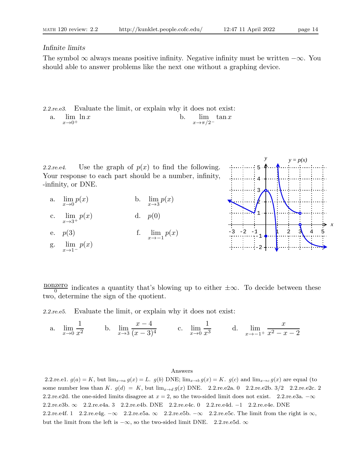# Infinite limits

The symbol  $\infty$  always means positive infinity. Negative infinity must be written  $-\infty$ . You should able to answer problems like the next one without a graphing device.

2.2.re.e3. Evaluate the limit, or explain why it does not exist: a.  $\lim_{x \to a} \ln x$  $x\rightarrow 0^+$  $\ln x$  b.  $\lim_{x \to 0}$  $x\rightarrow\pi/2^ \tan x$ 

2.2.re.e4. Use the graph of  $p(x)$  to find the following. Your response to each part should be a number, infinity, -infinity, or DNE.

- a.  $\lim_{x\to 0}p(x)$  $p(x)$  b.  $\lim_{x\to 3} p(x)$
- c. lim  $x \rightarrow 3^+$ d.  $p(0)$
- e.  $p(3)$  f.  $\lim_{x \to -1} p(x)$
- g. lim  $x\rightarrow 1^$  $p(x)$



<u>nonzero</u> indicates a quantity that's blowing up to either  $\pm \infty$ . To decide between these two, determine the sign of the quotient.

2.2.re.e5. Evaluate the limit, or explain why it does not exist:

a.  $\lim_{x\to 0}$ 1  $\frac{1}{x^2}$  b.  $\lim_{x \to 3}$  $\frac{x-4}{x-4}$  $\frac{x}{(x-3)^4}$  c.  $\lim_{x\to 0}$ 1  $\frac{1}{x^3}$  d.  $\lim_{x \to -1}$  $x \rightarrow -1^+$  $\boldsymbol{x}$  $x^2 - x - 2$ 

### Answers

2.2.re.e1.  $g(a) = K$ , but  $\lim_{x\to a} g(x) = L$ .  $g(b)$  DNE;  $\lim_{x\to b} g(x) = K$ .  $g(c)$  and  $\lim_{x\to c} g(x)$  are equal (to some number less than K.  $g(d) = K$ , but  $\lim_{x\to d} g(x)$  DNE. 2.2.re.e2a. 0 2.2.re.e2b. 3/2 2.2.re.e2c. 2 2.2.re.e2d. the one-sided limits disagree at  $x = 2$ , so the two-sided limit does not exist. 2.2.re.e3a.  $-\infty$ 2.2.re.e3b. ∞ 2.2.re.e4a. 3 2.2.re.e4b. DNE 2.2.re.e4c. 0 2.2.re.e4d. −1 2.2.re.e4e. DNE 2.2.re.e4f. 1 2.2.re.e4g.  $-\infty$  2.2.re.e5a.  $\infty$  2.2.re.e5b.  $-\infty$  2.2.re.e5c. The limit from the right is  $\infty$ , but the limit from the left is  $-\infty$ , so the two-sided limit DNE. 2.2.re.e5d.  $\infty$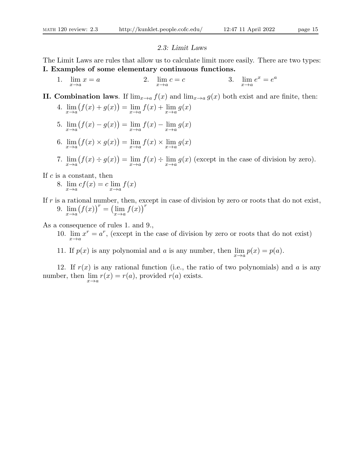## 2.3: Limit Laws

The Limit Laws are rules that allow us to calculate limit more easily. There are two types: I. Examples of some elementary continuous functions.

- 1.  $\lim_{x \to a} x = a$  2.  $\lim_{x \to a}$  $c = c$  3.  $\lim_{x \to a} e^x = e^a$
- II. Combination laws. If  $\lim_{x\to a} f(x)$  and  $\lim_{x\to a} g(x)$  both exist and are finite, then: 4.  $\lim_{x \to a} (f(x) + g(x)) = \lim_{x \to a} f(x) + \lim_{x \to a} g(x)$ 
	- 5.  $\lim_{x \to a} (f(x) g(x)) = \lim_{x \to a} f(x) \lim_{x \to a} g(x)$
	- 6.  $\lim_{x \to a} (f(x) \times g(x)) = \lim_{x \to a} f(x) \times \lim_{x \to a} g(x)$
	- 7.  $\lim_{x \to a} (f(x) \div g(x)) = \lim_{x \to a} f(x) \div \lim_{x \to a} g(x)$  (except in the case of division by zero).

If  $c$  is a constant, then

- 8.  $\lim_{x \to a} cf(x) = c \lim_{x \to a} f(x)$
- If  $r$  is a rational number, then, except in case of division by zero or roots that do not exist, 9.  $\lim_{x \to a} (f(x))^r = (\lim_{x \to a} f(x))^r$

As a consequence of rules 1. and 9.,

- 10.  $\lim_{x\to a} x^r = a^r$ , (except in the case of division by zero or roots that do not exist)
- 11. If  $p(x)$  is any polynomial and a is any number, then  $\lim_{x \to a} p(x) = p(a)$ .

12. If  $r(x)$  is any rational function (i.e., the ratio of two polynomials) and a is any number, then  $\lim_{x \to a} r(x) = r(a)$ , provided  $r(a)$  exists.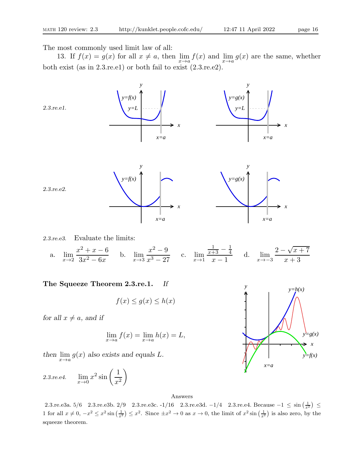The most commonly used limit law of all:

13. If  $f(x) = g(x)$  for all  $x \neq a$ , then  $\lim_{x \to a} f(x)$  and  $\lim_{x \to a} g(x)$  are the same, whether both exist (as in 2.3.re.e1) or both fail to exist (2.3.re.e2).



2.3.re.e3. Evaluate the limits:

a.  $\lim_{x\to 2}$  $x^2 + x - 6$  $\frac{3x^2-6x}{3x^2-6x}$  b.  $\lim_{x\to 3}$  $x^2-9$  $\frac{x}{x^3-27}$  c.  $\lim_{x\to 1}$  $\frac{1}{x+3} - \frac{1}{4}$ 4  $\frac{+3}{x-1}$  d.  $\lim_{x\to -3}$  $2 - \sqrt{x + 7}$  $x + 3$ 

The Squeeze Theorem 2.3.re.1. If

$$
f(x) \le g(x) \le h(x)
$$

for all  $x \neq a$ , and if

$$
\lim_{x \to a} f(x) = \lim_{x \to a} h(x) = L,
$$

then  $\lim_{x\to a} g(x)$  also exists and equals L.

2.3.7e.e4. 
$$
\lim_{x \to 0} x^2 \sin\left(\frac{1}{x^2}\right)
$$

Answers

2.3.re.e3a.  $5/6$  2.3.re.e3b. 2/9 2.3.re.e3c. -1/16 2.3.re.e3d. -1/4 2.3.re.e4. Because −1 ≤ sin  $\left(\frac{1}{x^2}\right)$  ≤ 1 for all  $x \neq 0$ ,  $-x^2 \le x^2 \sin\left(\frac{1}{x^2}\right) \le x^2$ . Since  $\pm x^2 \to 0$  as  $x \to 0$ , the limit of  $x^2 \sin\left(\frac{1}{x^2}\right)$  is also zero, by the squeeze theorem.

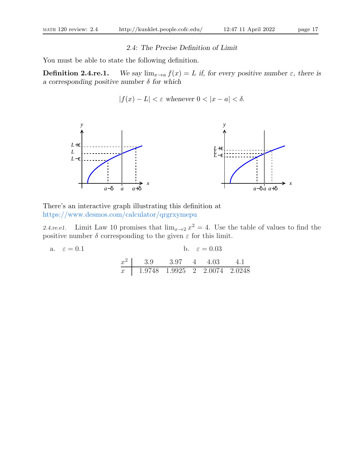# 2.4: The Precise Definition of Limit

You must be able to state the following definition.

**Definition 2.4.re.1.** We say  $\lim_{x\to a} f(x) = L$  if, for every positive number  $\varepsilon$ , there is a corresponding positive number  $\delta$  for which

$$
|f(x) - L| < \varepsilon \text{ whenever } 0 < |x - a| < \delta.
$$



There's an interactive graph illustrating this definition at https://www.desmos.com/calculator/qrgrxymepu

2.4.re.e1. Limit Law 10 promises that  $\lim_{x\to 2} x^2 = 4$ . Use the table of values to find the positive number  $\delta$  corresponding to the given  $\varepsilon$  for this limit.

a. 
$$
\varepsilon = 0.1
$$
  
b.  $\varepsilon = 0.03$   
 $\frac{x^2}{x} = \frac{3.9}{1.9748} = \frac{3.97}{1.9925} = \frac{4}{2} = \frac{4.03}{2.0074} = \frac{4.1}{2.0248}$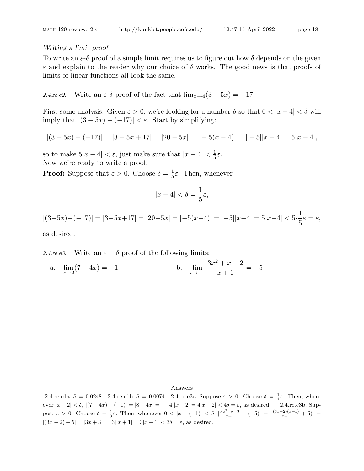## Writing a limit proof

To write an  $\varepsilon-\delta$  proof of a simple limit requires us to figure out how  $\delta$  depends on the given  $\varepsilon$  and explain to the reader why our choice of  $\delta$  works. The good news is that proofs of limits of linear functions all look the same.

2.4.re.e2. Write an  $\varepsilon$ -δ proof of the fact that  $\lim_{x\to 4}(3-5x) = -17$ .

First some analysis. Given  $\varepsilon > 0$ , we're looking for a number  $\delta$  so that  $0 < |x - 4| < \delta$  will imply that  $|(3-5x)-(-17)| < \varepsilon$ . Start by simplifying:

$$
|(3-5x)-(-17)|=|3-5x+17|=|20-5x|=|-5(x-4)|=|-5||x-4|=5|x-4|,
$$

so to make  $5|x-4| < \varepsilon$ , just make sure that  $|x-4| < \frac{1}{5}$  $rac{1}{5}\varepsilon$ . Now we're ready to write a proof.

**Proof:** Suppose that  $\varepsilon > 0$ . Choose  $\delta = \frac{1}{5}$  $\frac{1}{5}\varepsilon$ . Then, whenever

$$
|x - 4| < \delta = \frac{1}{5}\varepsilon,
$$

$$
|(3-5x)-(-17)|=|3-5x+17|=|20-5x|=|-5(x-4)|=|-5||x-4|=5|x-4|<5\cdot\frac{1}{5}\varepsilon=\varepsilon,
$$

as desired.

2.4.re.e3. Write an  $\varepsilon - \delta$  proof of the following limits:

a.  $\lim_{x \to 2} (7 - 4x) = -1$  b.  $\lim_{x \to -1}$  $3x^2 + x - 2$  $\frac{1}{x+1} = -5$ 

### Answers

2.4.re.e1a.  $\delta = 0.0248$  2.4.re.e1b.  $\delta = 0.0074$  2.4.re.e3a. Suppose  $\varepsilon > 0$ . Choose  $\delta = \frac{1}{4}\varepsilon$ . Then, whenever  $|x-2| < \delta$ ,  $|(7-4x)-(-1)| = |8-4x| = |-4||x-2| = 4|x-2| < 4\delta = \varepsilon$ , as desired. 2.4.re.e3b. Suppose  $\varepsilon > 0$ . Choose  $\delta = \frac{1}{3}\varepsilon$ . Then, whenever  $0 < |x - (-1)| < \delta$ ,  $\frac{3x^2+x-2}{x+1} - (-5)| = \frac{(3x-2)(x+1)}{x+1} + 5| =$  $|(3x-2)+5| = |3x+3| = |3||x+1| = 3|x+1| < 3\delta = \varepsilon$ , as desired.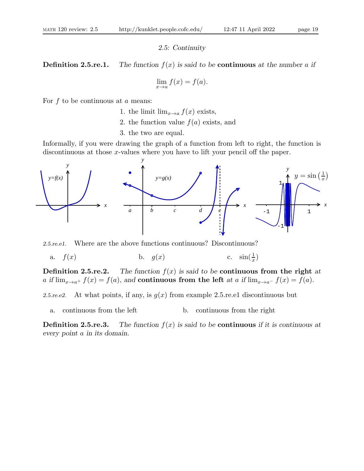## 2.5: Continuity

**Definition 2.5.re.1.** The function  $f(x)$  is said to be **continuous** at the number a if

$$
\lim_{x \to a} f(x) = f(a).
$$

For  $f$  to be continuous at  $a$  means:

- 1. the limit  $\lim_{x\to a} f(x)$  exists,
- 2. the function value  $f(a)$  exists, and
- 3. the two are equal.

Informally, if you were drawing the graph of a function from left to right, the function is discontinuous at those x-values where you have to lift your pencil off the paper.



2.5.re.e1. Where are the above functions continuous? Discontinuous?

a.  $f(x)$  b.  $g(x)$  c.  $\sin(\frac{1}{x})$ 

**Definition 2.5.re.2.** The function  $f(x)$  is said to be **continuous** from the right at a if  $\lim_{x\to a^+} f(x) = f(a)$ , and continuous from the left at a if  $\lim_{x\to a^-} f(x) = f(a)$ .

2.5.re.e2. At what points, if any, is  $q(x)$  from example 2.5.re.e1 discontinuous but

a. continuous from the left b. continuous from the right

**Definition 2.5.re.3.** The function  $f(x)$  is said to be **continuous** if it is continuous at every point a in its domain.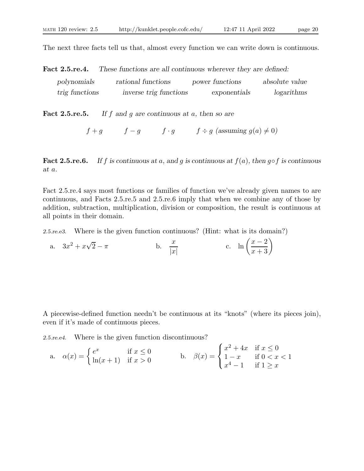The next three facts tell us that, almost every function we can write down is continuous.

Fact 2.5.re.4. These functions are all continuous wherever they are defined:

| polynomials    | rational functions     | power functions | absolute value |
|----------------|------------------------|-----------------|----------------|
| trig functions | inverse trig functions | exponentials    | logarithms     |

**Fact 2.5.re.5.** If f and g are continuous at a, then so are

$$
f+g
$$
  $f-g$   $f \cdot g$   $f \div g$  (assuming  $g(a) \neq 0$ )

Fact 2.5.re.6. If f is continuous at a, and q is continuous at  $f(a)$ , then  $g \circ f$  is continuous at a.

Fact 2.5.re.4 says most functions or families of function we've already given names to are continuous, and Facts 2.5.re.5 and 2.5.re.6 imply that when we combine any of those by addition, subtraction, multiplication, division or composition, the result is continuous at all points in their domain.

2.5.re.e3. Where is the given function continuous? (Hint: what is its domain?)

a.  $3x^2 + x\sqrt{ }$  $\frac{x}{2} - \pi$  b.  $\frac{x}{|x|}$  $|x|$ c.  $\ln\left(\frac{x-2}{x+3}\right)$ 

A piecewise-defined function needn't be continuous at its "knots" (where its pieces join), even if it's made of continuous pieces.

2.5.re.e4. Where is the given function discontinuous?

a. 
$$
\alpha(x) = \begin{cases} e^x & \text{if } x \le 0 \\ \ln(x+1) & \text{if } x > 0 \end{cases}
$$
 b.  $\beta(x) = \begin{cases} x^2 + 4x & \text{if } x \le 0 \\ 1 - x & \text{if } 0 < x < 1 \\ x^4 - 1 & \text{if } 1 \ge x \end{cases}$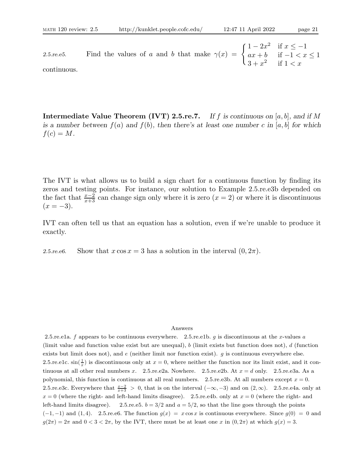2.5.re.e5. Find the values of a and b that make  $\gamma(x) = \begin{cases} 1 - 2x^2 & \text{if } x \leq -1 \\ ax + b & \text{if } -1 < x \end{cases}$  $ax + b$  if  $-1 < x \leq 1$  $3+x^2$  if  $1 < x$ continuous.

**Intermediate Value Theorem (IVT) 2.5.re.7.** If f is continuous on [a, b], and if M is a number between  $f(a)$  and  $f(b)$ , then there's at least one number c in [a, b] for which  $f(c) = M$ .

The IVT is what allows us to build a sign chart for a continuous function by finding its zeros and testing points. For instance, our solution to Example 2.5.re.e3b depended on the fact that  $\frac{x-2}{x+3}$  can change sign only where it is zero  $(x = 2)$  or where it is discontinuous  $(x = -3)$ .

IVT can often tell us that an equation has a solution, even if we're unable to produce it exactly.

2.5.re.e6. Show that  $x \cos x = 3$  has a solution in the interval  $(0, 2\pi)$ .

### Answers

2.5.re.e1a. f appears to be continuous everywhere. 2.5.re.e1b. g is discontinuous at the x-values a (limit value and function value exist but are unequal), b (limit exists but function does not), d (function exists but limit does not), and  $e$  (neither limit nor function exist).  $g$  is continuous everywhere else. 2.5.re.e1c.  $\sin(\frac{1}{x})$  is discontinuous only at  $x = 0$ , where neither the function nor its limit exist, and it continuous at all other real numbers x. 2.5.re.e2a. Nowhere. 2.5.re.e2b. At  $x = d$  only. 2.5.re.e3a. As a polynomial, this function is continuous at all real numbers. 2.5.re.e3b. At all numbers except  $x = 0$ . 2.5.re.e3c. Everywhere that  $\frac{x-2}{x+3} > 0$ , that is on the interval  $(-\infty, -3)$  and on  $(2, \infty)$ . 2.5.re.e4a. only at  $x = 0$  (where the right- and left-hand limits disagree). 2.5. re. e4b. only at  $x = 0$  (where the right- and left-hand limits disagree). 2.5.re.e5.  $b = 3/2$  and  $a = 5/2$ , so that the line goes through the points  $(-1, -1)$  and  $(1, 4)$ . 2.5.re.e6. The function  $g(x) = x \cos x$  is continuous everywhere. Since  $g(0) = 0$  and  $g(2\pi) = 2\pi$  and  $0 < 3 < 2\pi$ , by the IVT, there must be at least one x in  $(0, 2\pi)$  at which  $g(x) = 3$ .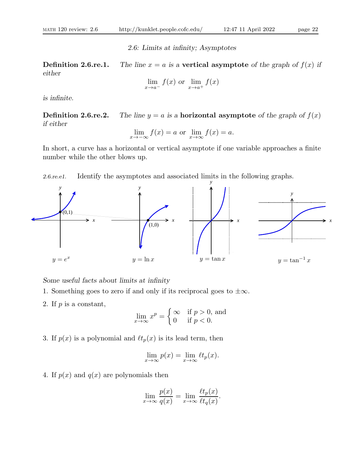2.6: Limits at infinity; Asymptotes

**Definition 2.6.re.1.** The line  $x = a$  is a vertical asymptote of the graph of  $f(x)$  if either

$$
\lim_{x \to a^{-}} f(x) \text{ or } \lim_{x \to a^{+}} f(x)
$$

is infinite.

**Definition 2.6.re.2.** The line  $y = a$  is a **horizontal asymptote** of the graph of  $f(x)$ if either

$$
\lim_{x \to -\infty} f(x) = a
$$
 or 
$$
\lim_{x \to \infty} f(x) = a.
$$

In short, a curve has a horizontal or vertical asymptote if one variable approaches a finite number while the other blows up.

2.6.re.e1. Identify the asymptotes and associated limits in the following graphs.



Some useful facts about limits at infinity

- 1. Something goes to zero if and only if its reciprocal goes to  $\pm \infty$ .
- 2. If  $p$  is a constant,

$$
\lim_{x \to \infty} x^p = \begin{cases} \infty & \text{if } p > 0, \text{ and} \\ 0 & \text{if } p < 0. \end{cases}
$$

3. If  $p(x)$  is a polynomial and  $\ell t_p(x)$  is its lead term, then

$$
\lim_{x \to \infty} p(x) = \lim_{x \to \infty} \ell t_p(x).
$$

4. If  $p(x)$  and  $q(x)$  are polynomials then

$$
\lim_{x \to \infty} \frac{p(x)}{q(x)} = \lim_{x \to \infty} \frac{\ell t_p(x)}{\ell t_q(x)}.
$$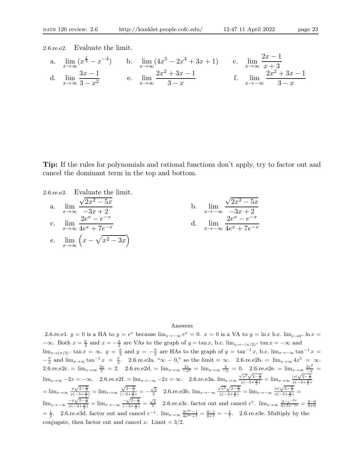2.6.re.e2. Evaluate the limit.

a. 
$$
\lim_{x \to \infty} (x^{\frac{1}{3}} - x^{-4})
$$
 b.  $\lim_{x \to \infty} (4x^5 - 2x^4 + 3x + 1)$  c.  $\lim_{x \to \infty} \frac{2x - 1}{x + 3}$   
d.  $\lim_{x \to \infty} \frac{3x - 1}{3 - x^2}$  e.  $\lim_{x \to \infty} \frac{2x^2 + 3x - 1}{3 - x}$  f.  $\lim_{x \to -\infty} \frac{2x^2 + 3x - 1}{3 - x}$ 

Tip: If the rules for polynomials and rational functions don't apply, try to factor out and cancel the dominant term in the top and bottom.

2.6.7.6.8. Evaluate the limit.  
\na. 
$$
\lim_{x \to \infty} \frac{\sqrt{2x^2 - 5x}}{-3x + 2}
$$
\nb. 
$$
\lim_{x \to -\infty} \frac{\sqrt{2x^2 - 5x}}{-3x + 2}
$$
\nc. 
$$
\lim_{x \to \infty} \frac{2e^x - e^{-x}}{4e^x + 7e^{-x}}
$$
\nd. 
$$
\lim_{x \to -\infty} \frac{2e^x - e^{-x}}{4e^x + 7e^{-x}}
$$
\ne. 
$$
\lim_{x \to \infty} (x - \sqrt{x^2 - 3x})
$$

### Answers

2.6.re.e1.  $y = 0$  is a HA to  $y = e^x$  because  $\lim_{x \to -\infty} e^x = 0$ .  $x = 0$  is a VA to  $y = \ln x$  b.c.  $\lim_{x \to 0^+} \ln x =$  $-\infty$ . Both  $x = \frac{\pi}{2}$  and  $x = -\frac{\pi}{2}$  are VAs to the graph of  $y = \tan x$ , b.c.  $\lim_{x \to -(\pi/2)^+} \tan x = -\infty$  and  $\lim_{x\to(\pi/2)^{-}}\tan x = \infty$ .  $y = \frac{\pi}{2}$  and  $y = -\frac{\pi}{2}$  are HAs to the graph of  $y = \tan^{-1}x$ , b.c.  $\lim_{x\to-\infty} \tan^{-1}x =$  $-\frac{1}{2}$  and  $\lim_{x\to\infty} \tan^{-1} x = \frac{1}{2}$  $\frac{\pi}{2}$  and  $\lim_{x\to\infty} \tan^{-1} x = \frac{\pi}{2}$ . 2.6.re.e2a. " $\infty - 0$ ," so the limit =  $\infty$ . 2.6.re.e2b. =  $\lim_{x\to\infty} 4x^5 = \infty$ . 2.6.re.e2c. =  $\lim_{x\to\infty} \frac{2x}{x} = 2$ . 2.6.re.e2d. =  $\lim_{x\to\infty} \frac{3x}{-x^2} = \lim_{x\to\infty} \frac{3}{-x} = 0$ . 2.6.re.e2e. =  $\lim_{x\to\infty} \frac{2x^2}{-x} =$  $\lim_{x\to\infty} -2x = -\infty$ . 2.6.re.e2f. =  $\lim_{x\to-\infty} -2x = \infty$ . 2.6.re.e3a.  $\lim_{x\to\infty} \frac{\sqrt{x^2}\sqrt{2-\frac{5}{x}}}{x(-3+\frac{2}{x})} = \lim_{x\to\infty} \frac{|x|\sqrt{2-\frac{5}{x}}}{x(-3+\frac{2}{x})}$  $=\lim_{x\to\infty}\frac{x\sqrt{2-\frac{5}{x}}}{x(-3+\frac{2}{x})}=\lim_{x\to\infty}$  $\frac{\sqrt{2-\frac{5}{x}}}{(-3+\frac{2}{x})} = -\frac{\sqrt{2}}{3}$  2.6.re.e3b.  $\lim_{x \to -\infty} \frac{\sqrt{x^2}\sqrt{2-\frac{5}{x}}}{x(-3+\frac{2}{x})} = \lim_{x \to -\infty} \frac{|x|\sqrt{2-\frac{5}{x}}}{x(-3+\frac{2}{x})} =$  $\lim_{x \to -\infty} \frac{-x\sqrt{2-\frac{5}{x}}}{x(-3+\frac{2}{x})} = \lim_{x \to -\infty} \frac{-\sqrt{2-\frac{5}{x}}}{(-3+\frac{2}{x})} = \frac{\sqrt{2}}{3}$  2.6.re.e3c. factor out and cancel  $e^x$ .  $\lim_{x \to \infty} \frac{2-e^{-2x}}{4+7e^{-2x}} = \frac{2-0}{4+0}$  $=\frac{1}{2}$ . 2.6.re.e3d. factor out and cancel  $e^{-x}$ .  $\lim_{x\to\infty} \frac{2e^{2x}-1}{4e^{2x}+7} = \frac{0-1}{0+7} = -\frac{1}{7}$ . 2.6.re.e3e. Multiply by the conjugate, then factor out and cancel x. Limit  $= 3/2$ .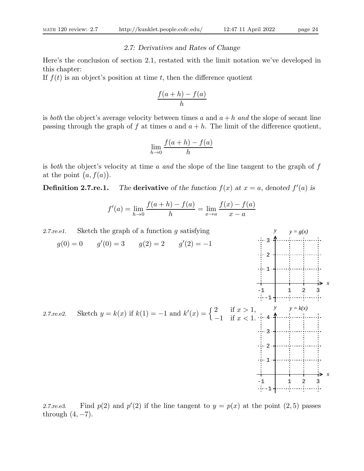## 2.7: Derivatives and Rates of Change

Here's the conclusion of section 2.1, restated with the limit notation we've developed in this chapter:

If  $f(t)$  is an object's position at time t, then the difference quotient

$$
\frac{f(a+h) - f(a)}{h}
$$

is both the object's average velocity between times a and  $a + h$  and the slope of secant line passing through the graph of f at times a and  $a + h$ . The limit of the difference quotient,

$$
\lim_{h \to 0} \frac{f(a+h) - f(a)}{h}
$$

is both the object's velocity at time a and the slope of the line tangent to the graph of  $f$ at the point  $(a, f(a))$ .

**Definition 2.7.re.1.** The derivative of the function  $f(x)$  at  $x = a$ , denoted  $f'(a)$  is

$$
f'(a) = \lim_{h \to 0} \frac{f(a+h) - f(a)}{h} = \lim_{x \to a} \frac{f(x) - f(a)}{x - a}
$$



2.7.re.e3. Find  $p(2)$  and  $p'(2)$  if the line tangent to  $y = p(x)$  at the point  $(2, 5)$  passes through  $(4, -7)$ .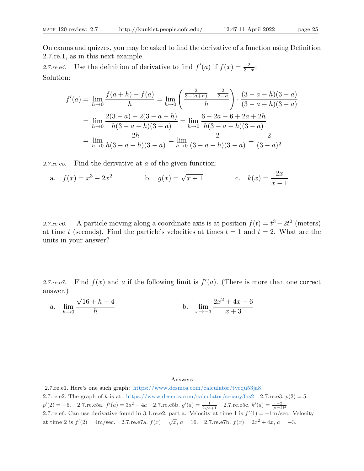On exams and quizzes, you may be asked to find the derivative of a function using Definition 2.7.re.1, as in this next example.

2.7.re.e4. Use the definition of derivative to find  $f'(a)$  if  $f(x) = \frac{2}{3-x}$ . Solution:

$$
f'(a) = \lim_{h \to 0} \frac{f(a+h) - f(a)}{h} = \lim_{h \to 0} \left( \frac{\frac{2}{3 - (a+h)} - \frac{2}{3 - a}}{h} \right) \cdot \frac{(3 - a - h)(3 - a)}{(3 - a - h)(3 - a)}
$$

$$
= \lim_{h \to 0} \frac{2(3 - a) - 2(3 - a - h)}{h(3 - a - h)(3 - a)} = \lim_{h \to 0} \frac{6 - 2a - 6 + 2a + 2h}{h(3 - a - h)(3 - a)}
$$

$$
= \lim_{h \to 0} \frac{2h}{h(3 - a - h)(3 - a)} = \lim_{h \to 0} \frac{2}{(3 - a - h)(3 - a)} = \frac{2}{(3 - a)^2}
$$

2.7.re.e5. Find the derivative at a of the given function:

a. 
$$
f(x) = x^3 - 2x^2
$$
 b.  $g(x) = \sqrt{x+1}$  c.  $k(x) = \frac{2x}{x-1}$ 

2.7.re.e6. A particle moving along a coordinate axis is at position  $f(t) = t^3 - 2t^2$  (meters) at time t (seconds). Find the particle's velocities at times  $t = 1$  and  $t = 2$ . What are the units in your answer?

2.7. re.e7. Find  $f(x)$  and a if the following limit is  $f'(a)$ . (There is more than one correct answer.)

a. 
$$
\lim_{h \to 0} \frac{\sqrt{16+h} - 4}{h}
$$
 b.  $\lim_{x \to -3} \frac{2x^2 + 4x - 6}{x + 3}$ 

Answers

2.7.re.e1. Here's one such graph: https://www.desmos.com/calculator/tvcqu53ja8 2.7.re.e2. The graph of k is at: https://www.desmos.com/calculator/seosuy3hs2 2.7.re.e3.  $p(2) = 5$ .  $p'(2) = -6.$  2.7.re.e5a.  $f'(a) = 3a^2 - 4a$  2.7.re.e5b.  $g'(a) = \frac{1}{2\sqrt{a+1}}$  2.7.re.e5c.  $k'(a) = \frac{-2}{(a-1)^2}$ 2.7.re.e6. Can use derivative found in 3.1.re.e2, part a. Velocity at time 1 is  $f'(1) = -1$ m/sec. Velocity at time 2 is  $f'(2) = 4m/sec.$  2.7.re.e7a.  $f(x) = \sqrt{x}$ ,  $a = 16.$  2.7.re.e7b.  $f(x) = 2x^2 + 4x$ ,  $a = -3.$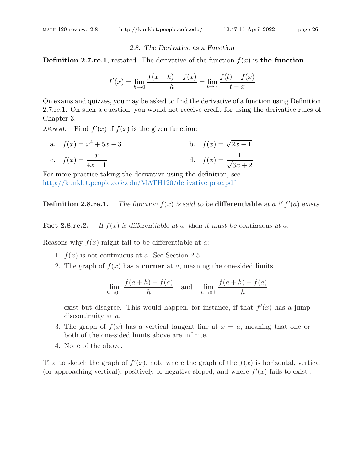## 2.8: The Derivative as a Function

**Definition 2.7.re.1**, restated. The derivative of the function  $f(x)$  is the function

$$
f'(x) = \lim_{h \to 0} \frac{f(x+h) - f(x)}{h} = \lim_{t \to x} \frac{f(t) - f(x)}{t - x}
$$

On exams and quizzes, you may be asked to find the derivative of a function using Definition 2.7.re.1. On such a question, you would not receive credit for using the derivative rules of Chapter 3.

2.8. re.e1. Find  $f'(x)$  if  $f(x)$  is the given function:

a. 
$$
f(x) = x^4 + 5x - 3
$$
  
b.  $f(x) = \sqrt{2x - 1}$   
c.  $f(x) = \frac{x}{4x - 1}$   
d.  $f(x) = \frac{1}{\sqrt{3x + 2}}$ 

For more practice taking the derivative using the definition, see http://kunklet.people.cofc.edu/MATH120/derivative prac.pdf

**Definition 2.8.re.1.** The function  $f(x)$  is said to be **differentiable** at a if  $f'(a)$  exists.

**Fact 2.8.re.2.** If  $f(x)$  is differentiable at a, then it must be continuous at a.

Reasons why  $f(x)$  might fail to be differentiable at a:

- 1.  $f(x)$  is not continuous at a. See Section 2.5.
- 2. The graph of  $f(x)$  has a **corner** at a, meaning the one-sided limits

$$
\lim_{h \to 0^-} \frac{f(a+h) - f(a)}{h}
$$
 and 
$$
\lim_{h \to 0^+} \frac{f(a+h) - f(a)}{h}
$$

exist but disagree. This would happen, for instance, if that  $f'(x)$  has a jump discontinuity at a.

- 3. The graph of  $f(x)$  has a vertical tangent line at  $x = a$ , meaning that one or both of the one-sided limits above are infinite.
- 4. None of the above.

Tip: to sketch the graph of  $f'(x)$ , note where the graph of the  $f(x)$  is horizontal, vertical (or approaching vertical), positively or negative sloped, and where  $f'(x)$  fails to exist.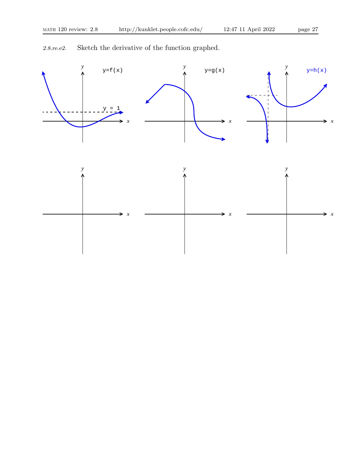2.8.re.e2. Sketch the derivative of the function graphed.

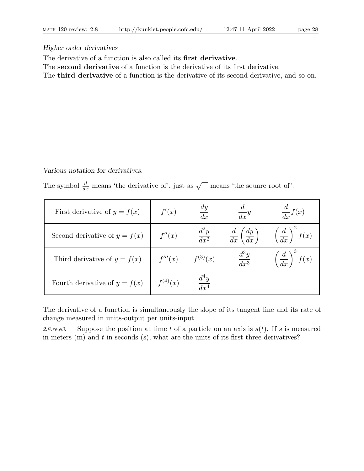# Higher order derivatives

The derivative of a function is also called its first derivative.

The second derivative of a function is the derivative of its first derivative.

The third derivative of a function is the derivative of its second derivative, and so on.

Various notation for derivatives.

The symbol  $\frac{d}{dx}$  means 'the derivative of', just as  $\sqrt{\ }$  means 'the square root of'.

| First derivative of $y = f(x)$  | f'(x)        | $\,dy\,$<br>dx              | $\frac{d}{dx}y$                           | $\frac{d}{dx}f(x)$                 |
|---------------------------------|--------------|-----------------------------|-------------------------------------------|------------------------------------|
| Second derivative of $y = f(x)$ | f''(x)       | $d^2y$<br>$\overline{dx^2}$ | $rac{d}{dx}$ $\left(\frac{dy}{dx}\right)$ | $\left(\frac{d}{dx}\right)^2 f(x)$ |
| Third derivative of $y = f(x)$  | f'''(x)      | $f^{(3)}(x)$                | $\frac{d^3y}{dx^3}$                       | $\frac{d}{dx}$<br>f(x)             |
| Fourth derivative of $y = f(x)$ | $f^{(4)}(x)$ | $\overline{dr^4}$           |                                           |                                    |

The derivative of a function is simultaneously the slope of its tangent line and its rate of change measured in units-output per units-input.

2.8. re.e3. Suppose the position at time t of a particle on an axis is  $s(t)$ . If s is measured in meters  $(m)$  and  $t$  in seconds  $(s)$ , what are the units of its first three derivatives?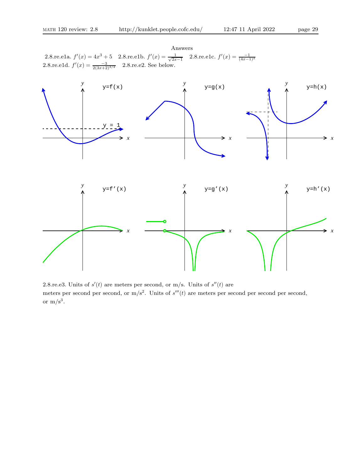Answers 2.8.re.e1a.  $f'(x) = 4x^3 + 5$  2.8.re.e1b.  $f'(x) = \frac{1}{\sqrt{2x-1}}$  2.8.re.e1c.  $f'(x) = \frac{-1}{(4x-1)^2}$ 2.8.re.e1d.  $f'(x) = \frac{-3}{2(3x+2)^{3/2}}$  2.8.re.e2. See below.



2.8.re.e3. Units of  $s'(t)$  are meters per second, or m/s. Units of  $s''(t)$  are meters per second per second, or  $m/s^2$ . Units of  $s'''(t)$  are meters per second per second per second, or  $m/s<sup>3</sup>$ .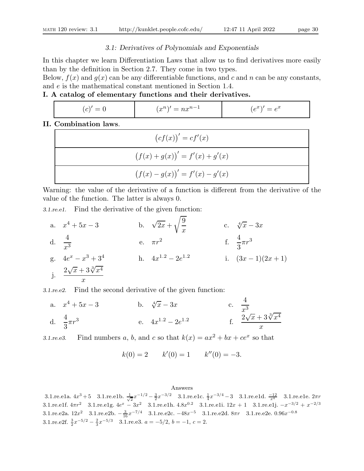## 3.1: Derivatives of Polynomials and Exponentials

In this chapter we learn Differentiation Laws that allow us to find derivatives more easily than by the definition in Section 2.7. They come in two types.

Below,  $f(x)$  and  $g(x)$  can be any differentiable functions, and c and n can be any constants, and e is the mathematical constant mentioned in Section 1.4.

# I. A catalog of elementary functions and their derivatives.

| $\sim$ 1<br>_<br>_<br>_<br>◡ | $\mathbf{v}$<br>$\sim$<br>$\sim 10$<br>. .<br>$=$<br>$\cdot$<br>$\iota\iota$ | $\sim$<br>$\sim$<br>$\cdot e^{x}$<br>$\overline{\phantom{0}}$<br>◡<br>◡ |
|------------------------------|------------------------------------------------------------------------------|-------------------------------------------------------------------------|
|                              |                                                                              |                                                                         |

# II. Combination laws.

| $(c f(x))' = c f'(x)$            |
|----------------------------------|
| $(f(x) + g(x))' = f'(x) + g'(x)$ |
| $(f(x) - g(x))' = f'(x) - g'(x)$ |

Warning: the value of the derivative of a function is different from the derivative of the value of the function. The latter is always 0.

3.1.re.e1. Find the derivative of the given function:

a.  $x^4 + 5x - 3$  b.  $\sqrt{2x} +$  $\sqrt{9}$  $\boldsymbol{x}$ c.  $\sqrt[4]{x} - 3x$ d.  $\frac{4}{4}$  $\frac{4}{x^3}$  e.  $\pi r^2$ f.  $\frac{4}{2}$ 3  $\pi r^3$  $g. \quad 4e^x - x$  $3+3^4$  h.  $4x^{1.2}-2e^{1.2}$ i.  $(3x-1)(2x+1)$ j.  $2\sqrt{x}+3\sqrt[3]{x^4}$  $\overline{x}$ 

3.1.re.e2. Find the second derivative of the given function:

a.  $x^4 + 5x - 3$  $4+5x-3$  b.  $\sqrt[4]{x}-3x$  c. 4  $x^3$ d.  $\frac{4}{9}$ 3  $\pi r^3$ e.  $4x^{1.2} - 2e^{1.2}$ f.  $\frac{2\sqrt{x}+3\sqrt[3]{x^4}}{2}$  $\boldsymbol{x}$ 

3.1.re.e3. Find numbers a, b, and c so that  $k(x) = ax^2 + bx + ce^x$  so that

 $k(0) = 2$   $k'(0) = 1$   $k''(0) = -3.$ 

### Answers

3.1.re.e1a.  $4x^3+5$  3.1.re.e1b.  $\frac{1}{\sqrt{2}}x^{-1/2} - \frac{3}{2}x^{-3/2}$  3.1.re.e1c.  $\frac{1}{4}x^{-3/4} - 3$  3.1.re.e1d.  $\frac{-12}{x^4}$  3.1.re.e1e.  $2\pi r$ 3.1.re.e1f.  $4\pi r^2$  3.1.re.e1g.  $4e^x - 3x^2$  3.1.re.e1h.  $4.8x^{0.2}$  3.1.re.e1i.  $12x + 1$  3.1.re.e1j.  $-x^{-3/2} + x^{-2/3}$ 3.1.re.e2a.  $12x^2$  3.1.re.e2b.  $-\frac{3}{16}x^{-7/4}$  3.1.re.e2c.  $-48x^{-5}$  3.1.re.e2d.  $8\pi r$  3.1.re.e2e.  $0.96x^{-0.8}$ 3.1.re.e2f.  $\frac{3}{2}x^{-5/2} - \frac{2}{3}x^{-5/3}$  3.1.re.e3.  $a = -5/2$ ,  $b = -1$ ,  $c = 2$ .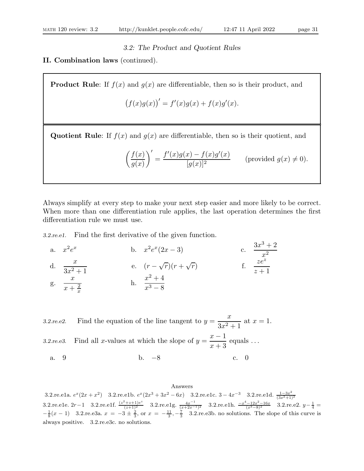## 3.2: The Product and Quotient Rules

# II. Combination laws (continued).

**Product Rule:** If  $f(x)$  and  $g(x)$  are differentiable, then so is their product, and

$$
(f(x)g(x))' = f'(x)g(x) + f(x)g'(x).
$$

Quotient Rule: If  $f(x)$  and  $g(x)$  are differentiable, then so is their quotient, and

$$
\left(\frac{f(x)}{g(x)}\right)' = \frac{f'(x)g(x) - f(x)g'(x)}{[g(x)]^2}
$$
 (provided  $g(x) \neq 0$ ).

Always simplify at every step to make your next step easier and more likely to be correct. When more than one differentiation rule applies, the last operation determines the first differentiation rule we must use.

3.2.re.e1. Find the first derivative of the given function.

a. 
$$
x^2 e^x
$$
  
\nb.  $x^2 e^x (2x - 3)$   
\nc.  $\frac{3x^3 + 2}{x^2}$   
\nd.  $\frac{x}{3x^2 + 1}$   
\ne.  $(r - \sqrt{r})(r + \sqrt{r})$   
\nf.  $\frac{ze^z}{ze^z}$   
\ng.  $\frac{x}{x + \frac{2}{x}}$   
\nh.  $\frac{x^2 + 4}{x^3 - 8}$ 

3.2.re.e2. Find the equation of the line tangent to  $y =$  $\boldsymbol{x}$  $\frac{z}{3x^2+1}$  at  $x=1$ . 3.2. re. e3. Find all x-values at which the slope of  $y = \frac{x-1}{x-2}$  $x + 3$ equals . . . a. 9 b.  $-8$  c. 0

### Answers 3.2.re.e1a.  $e^x(2x+x^2)$  3.2.re.e1b.  $e^x(2x^3+3x^2-6x)$  3.2.re.e1c. 3 -  $4x^{-3}$  3.2.re.e1d.  $\frac{1-3x^2}{(3x^2+1)}$  $(3x^2+1)^2$ 3.2.re.e1e. 2r - 1 3.2.re.e1f.  $\frac{(z^2+z+1)e^z}{(z+1)^2}$  3.2.re.e1g.  $\frac{4x^{-1}}{(x+2x^{-1})}$  $\frac{4x^{-1}}{(x+2x^{-1})^2}$  3.2.re.e1h.  $\frac{-x^4-12x^2-16x}{(x^3-8)^2}$  3.2.re.e2.  $y-\frac{1}{4}$  =  $-\frac{1}{8}(x-1)$  3.2.re.e3a.  $x = -3 \pm \frac{2}{3}$ , or  $x = -\frac{11}{3}, -\frac{7}{3}$  3.2.re.e3b. no solutions. The slope of this curve is always positive. 3.2.re.e3c. no solutions.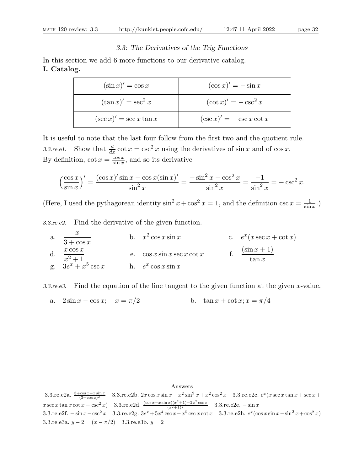# 3.3: The Derivatives of the Trig Functions

In this section we add 6 more functions to our derivative catalog. I. Catalog.

| $(\sin x)' = \cos x$        | $(\cos x)' = -\sin x$        |
|-----------------------------|------------------------------|
| $(\tan x)' = \sec^2 x$      | $(\cot x)' = -\csc^2 x$      |
| $(\sec x)' = \sec x \tan x$ | $(\csc x)' = -\csc x \cot x$ |

It is useful to note that the last four follow from the first two and the quotient rule. 3.3.re.e1. Show that  $\frac{d}{dx} \cot x = \csc^2 x$  using the derivatives of sin x and of  $\cos x$ . By definition,  $\cot x = \frac{\cos x}{\sin x}$  $\frac{\cos x}{\sin x}$ , and so its derivative

$$
\left(\frac{\cos x}{\sin x}\right)' = \frac{(\cos x)' \sin x - \cos x (\sin x)'}{\sin^2 x} = \frac{-\sin^2 x - \cos^2 x}{\sin^2 x} = \frac{-1}{\sin^2 x} = -\csc^2 x.
$$

(Here, I used the pythagorean identity  $\sin^2 x + \cos^2 x = 1$ , and the definition  $\csc x = \frac{1}{\sin x}$  $\frac{1}{\sin x}$ .)

3.3.re.e2. Find the derivative of the given function.

a.  $\overline{x}$  $\overline{3 + \cos x}$ b.  $x^2 \cos x \sin x$  c. e  $x(x \sec x + \cot x)$ d.  $\frac{x \cos x}{2+1}$  $x^2 + 1$ e.  $\cos x \sin x \sec x \cot x$ f.  $\frac{(\sin x + 1)}{\tan x}$ g.  $3e^x + x^5$  $\csc x$  h.  $e^x \cos x \sin x$ 

3.3. re.  $\epsilon$ 3. Find the equation of the line tangent to the given function at the given x-value.

a. 
$$
2\sin x - \cos x
$$
;  $x = \pi/2$  b.  $\tan x + \cot x$ ;  $x = \pi/4$ 

## Answers

3.3.re.e2a.  $\frac{3+\cos x+x\sin x}{(3+\cos x)^2}$  3.3.re.e2b. 2x cos x sin  $x-x^2\sin^2 x+x^2\cos^2 x$  3.3.re.e2c.  $e^x(x\sec x\tan x+\sec x+\sec x)$  $x \sec x \tan x \cot x - \csc^2 x$  3.3.re.e2d.  $\frac{(\cos x - x \sin x)(x^2 + 1) - 2x^2 \cos x}{(x^2 + 1)^2}$  3.3.re.e2e.  $-\sin x$ 3.3.re.e2f.  $-\sin x - \csc^2 x$  3.3.re.e2g.  $3e^x + 5x^4 \csc x - x^5 \csc x \cot x$  3.3.re.e2h.  $e^x(\cos x \sin x - \sin^2 x + \cos^2 x)$ 3.3.re.e3a.  $y - 2 = (x - \pi/2)$  3.3.re.e3b.  $y = 2$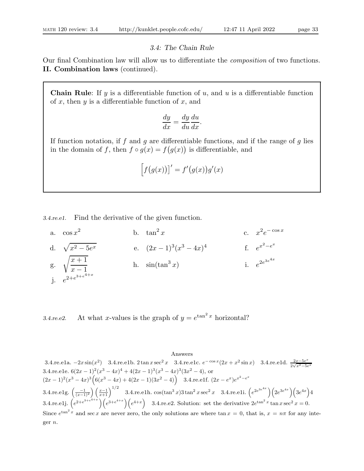$\overline{x}$ 

## 3.4: The Chain Rule

Our final Combination law will allow us to differentiate the composition of two functions. II. Combination laws (continued).

**Chain Rule:** If y is a differentiable function of u, and u is a differentiable function of  $x$ , then  $y$  is a differentiable function of  $x$ , and

$$
\frac{dy}{dx} = \frac{dy}{du}\frac{du}{dx}.
$$

If function notation, if f and g are differentiable functions, and if the range of g lies in the domain of f, then  $f \circ g(x) = f(g(x))$  is differentiable, and

$$
\left[f\big(g(x)\big)\right]' = f'\big(g(x)\big)g'(x)
$$

3.4.re.e1. Find the derivative of the given function.

a. 
$$
\cos x^2
$$
  
\nb.  $\tan^2 x$   
\nc.  $x^2 e^{-\cos x}$   
\nd.  $\sqrt{x^2 - 5e^x}$   
\ne.  $(2x - 1)^3 (x^3 - 4x)^4$   
\nf.  $e^{x^2 - e^x}$   
\ng.  $\sqrt{\frac{x+1}{x-1}}$   
\nh.  $\sin(\tan^3 x)$   
\ni.  $e^{2e^{3e^{4x}}}$ 

3.4.re.e2. At what x-values is the graph of  $y = e^{\tan^2 x}$  horizontal?

## Answers

3.4.re.e1a.  $-2x\sin(x^2)$  3.4.re.e1b. 2 tan x sec<sup>2</sup> x 3.4.re.e1c.  $e^{-\cos x}(2x + x^2\sin x)$  3.4.re.e1d.  $\frac{2x-5e^x}{2\sqrt{x^2-5e^x}}$  $2\sqrt{x^2-5e^x}$ 3.4.re.e1e.  $6(2x-1)^2(x^3-4x)^4+4(2x-1)^3(x^3-4x)^3(3x^2-4)$ , or  $(2x-1)^2(x^3-4x)^3\Big(6(x^3-4x)+4(2x-1)(3x^2-4)\Big)$  3.4.re.e1f.  $(2x-e^x)e^{x^2-e^x}$  $3.4.\mathrm{re.e1g.} \left(\frac{-1}{(x-1)^2}\right) \left(\frac{x-1}{x+1}\right)^{1/2}$   $3.4.\mathrm{re.e1h.} \, \cos(\tan^3 x) 3 \tan^2 x \sec^2 x$   $3.4.\mathrm{re.e1i.} \left(e^{2e^{3e^{4x}}}\right) \left(2e^{3e^{4x}}\right) \left(3e^{4x}\right) 4$ 3.4.re.e1j.  $\left(e^{2+e^{3+e^{4+x}}}\right)\left(e^{3+e^{4+x}}\right)\left(e^{4+x}\right)$  3.4.re.e2. Solution: set the derivative  $2e^{\tan^2 x} \tan x \sec^2 x = 0$ . Since  $e^{\tan^2 x}$  and sec x are never zero, the only solutions are where  $\tan x = 0$ , that is,  $x = n\pi$  for any integer n.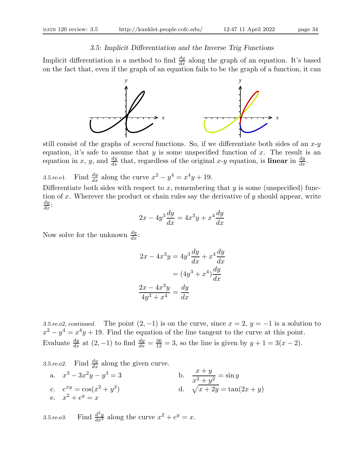## 3.5: Implicit Differentiation and the Inverse Trig Functions

Implicit differentiation is a method to find  $\frac{dy}{dx}$  along the graph of an equation. It's based on the fact that, even if the graph of an equation fails to be the graph of a function, it can



still consist of the graphs of *several* functions. So, if we differentiate both sides of an  $x-y$ equation, it's safe to assume that y is some unspecified function of x. The result is an equation in x, y, and  $\frac{dy}{dx}$  that, regardless of the original x-y equation, is **linear** in  $\frac{dy}{dx}$ .

3.5.re.e1. Find  $\frac{dy}{dx}$  along the curve  $x^2 - y^4 = x^4y + 19$ .

Differentiate both sides with respect to x, remembering that  $y$  is some (unspecified) function of x. Wherever the product or chain rules say the derivative of  $y$  should appear, write  $\frac{dy}{dx}$ :

$$
2x - 4y^3 \frac{dy}{dx} = 4x^3y + x^4 \frac{dy}{dx}
$$

Now solve for the unknown  $\frac{dy}{dx}$ :

$$
2x - 4x3y = 4y3\frac{dy}{dx} + x4\frac{dy}{dx}
$$

$$
= (4y3 + x4)\frac{dy}{dx}
$$

$$
\frac{2x - 4x3y}{4y3 + x4} = \frac{dy}{dx}
$$

3.5.re.e2, continued. The point  $(2, -1)$  is on the curve, since  $x = 2$ ,  $y = -1$  is a solution to  $x^2 - y^4 = x^4y + 19$ . Find the equation of the line tangent to the curve at this point. Evaluate  $\frac{dy}{dx}$  at  $(2,-1)$  to find  $\frac{dy}{dx} = \frac{36}{12} = 3$ , so the line is given by  $y + 1 = 3(x-2)$ .

3.5.re.e2. Find  $\frac{dy}{dx}$  along the given curve.

a.  $x^3 - 3x^2y - y$  $3 = 3$  b.  $\frac{x + y}{2}$  $\frac{x+y}{x^2+y^2} = \sin y$ c.  $e^{xy} = \cos(x^2 + y^2)$ ) d.  $\sqrt{x + 2y} = \tan(2x + y)$ e.  $x^2 + e^y = x$ 

3.5.re.e3. Find  $\frac{d^2y}{dx^2}$  along the curve  $x^2 + e^y = x$ .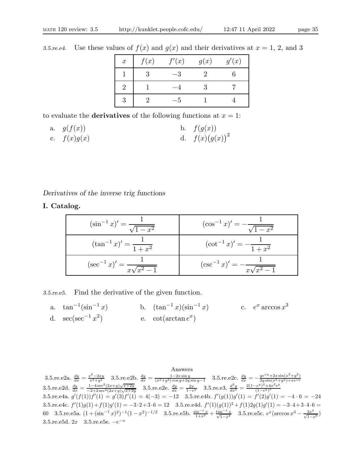| $\boldsymbol{x}$ | f(x) | f'(x) | g(x) | g'(x) |
|------------------|------|-------|------|-------|
|                  |      |       |      |       |
|                  |      |       |      |       |
|                  |      |       |      |       |

3.5.re.e4. Use these values of  $f(x)$  and  $g(x)$  and their derivatives at  $x = 1, 2$ , and 3

to evaluate the **derivatives** of the following functions at  $x = 1$ :

a. 
$$
g(f(x))
$$
  
b.  $f(g(x))$   
c.  $f(x)g(x)$   
d.  $f(x)(g(x))^{2}$ 

Derivatives of the inverse trig functions

I. Catalog.

| $(\sin^{-1} x)' = \frac{1}{\sqrt{1-x^2}}$  | $(\cos^{-1} x)' = -\frac{1}{\sqrt{1-x^2}}$  |
|--------------------------------------------|---------------------------------------------|
| $(\tan^{-1} x)' = \frac{1}{1+x^2}$         | $(\cot^{-1} x)' = -\frac{1}{1+x^2}$         |
| $(\sec^{-1} x)' = \frac{1}{x\sqrt{x^2-1}}$ | $(\csc^{-1} x)' = -\frac{1}{x\sqrt{x^2-1}}$ |

3.5.re.e5. Find the derivative of the given function.

a.  $\tan^{-1}(\sin^{-1} x)$  $(\sin^{-1} x)$  b.  $(\tan^{-1} x)(\sin^{-1} x)$  c.  $e^x \arccos x^3$ d.  $\sec(\sec^{-1} x^2)$  $\qquad \qquad$  e.  $\cot(\arctan e^x)$ 

Answers 3.5.re.e2a.  $\frac{dy}{dx} = \frac{x^2 - 2xy}{x^2 + y^2}$  3.5.re.e2b.  $\frac{dy}{dx} = \frac{1 - 2x \sin y}{(x^2 + y^2) \cos y + 2y \sin y - 1}$  3.5.re.e2c.  $\frac{dy}{dx} = -\frac{ye^{xy} + 2x \sin(x^2 + y^2)}{2y \sin(x^2 + y^2) + xe^{xy}}$ 3.5.re.e2d.  $\frac{dy}{dx} = \frac{1-4\sec^2(2x+y)\sqrt{x+2y}}{-2+2\sec^2(2x+y)\sqrt{x+2y}}$  3.5.re.e2e.  $\frac{dy}{dx} = \frac{2x}{1-e^y}$  3.5.re.e3.  $\frac{d^2y}{dx^2} = \frac{2(1-e^y)^2+4x^2e^y}{(1-e^y)^3}$  $(1-e^y)^3$ 3.5.re.e4a.  $g'(f(1))f'(1) = g'(3)f'(1) = 4(-3) = -12$  3.5.re.e4b.  $f'(g(1))g'(1) = f'(2)g'(1) = -4 \cdot 6 = -24$ 3.5.re.e4c.  $f'(1)g(1) + f(1)g'(1) = -3 \cdot 2 + 3 \cdot 6 = 12$  3.5.re.e4d.  $f'(1)(g(1))^2 + f(1)2g(1)g'(1) = -3 \cdot 4 + 3 \cdot 4 \cdot 6 =$ 60 3.5.re.e5a.  $(1 + (\sin^{-1} x)^2)^{-1}(1 - x^2)^{-1/2}$  3.5.re.e5b.  $\frac{\sin^{-1} x}{1 + x^2} + \frac{\tan^{-1} x}{\sqrt{1 - x^2}}$  3.5.re.e5c.  $e^x(\arccos x^3 - \frac{3x^2}{\sqrt{1 - x^6}})$ 3.5.re.e5d.  $2x-3.5$ .re.e5e.  $-e^{-x}$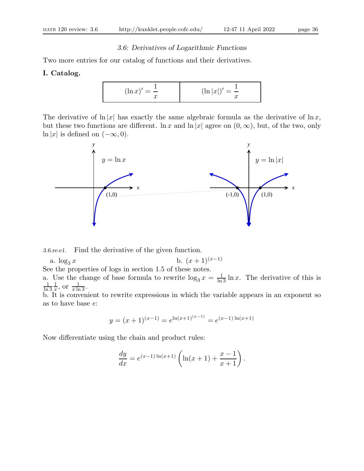# 3.6: Derivatives of Logarithmic Functions

Two more entries for our catalog of functions and their derivatives.

# I. Catalog.

$$
(\ln x)' = \frac{1}{x}
$$
  $(\ln |x|)' = \frac{1}{x}$ 

The derivative of  $\ln |x|$  has exactly the same algebraic formula as the derivative of  $\ln x$ , but these two functions are different.  $\ln x$  and  $\ln |x|$  agree on  $(0, \infty)$ , but, of the two, only ln |x| is defined on  $(-\infty, 0)$ .



3.6.re.e1. Find the derivative of the given function.

a.  $\log_3 x$  b.  $(x+1)^{(x-1)}$ 

See the properties of logs in section 1.5 of these notes.

a. Use the change of base formula to rewrite  $\log_3 x = \frac{1}{\ln 3} \ln x$ . The derivative of this is ln 3 1  $\frac{1}{x}$ , or  $\frac{1}{x \ln 3}$ .

b. It is convenient to rewrite expressions in which the variable appears in an exponent so as to have base e:

$$
y = (x+1)^{(x-1)} = e^{\ln(x+1)^{(x-1)}} = e^{(x-1)\ln(x+1)}
$$

Now differentiate using the chain and product rules:

$$
\frac{dy}{dx} = e^{(x-1)\ln(x+1)} \left( \ln(x+1) + \frac{x-1}{x+1} \right).
$$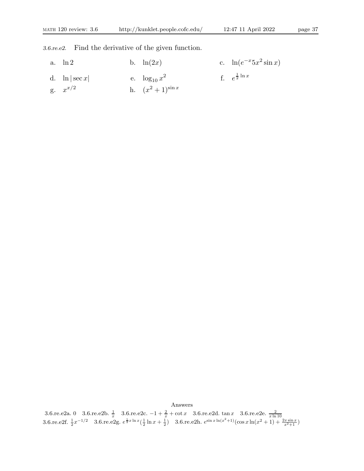3.6.re.e2. Find the derivative of the given function.

| a. $\ln 2$        | b. $\ln(2x)$          | c. $\ln(e^{-x} 5x^2 \sin x)$ |
|-------------------|-----------------------|------------------------------|
| d. $\ln  \sec x $ | e. $\log_{10} x^2$    | f. $e^{\frac{1}{2} \ln x}$   |
| g. $x^{x/2}$      | h. $(x^2+1)^{\sin x}$ |                              |

Answers

3.6.re.e2a. 0 3.6.re.e2b.  $\frac{1}{x}$  3.6.re.e2c.  $-1 + \frac{2}{x} + \cot x$  3.6.re.e2d.  $\tan x$  3.6.re.e2e.  $\frac{2}{x \ln 10}$ <br>3.6.re.e2f.  $\frac{1}{2}x^{-1/2}$  3.6.re.e2g.  $e^{\frac{1}{2}x \ln x}(\frac{1}{2} \ln x + \frac{1}{2})$  3.6.re.e2h.  $e^{\sin x \ln(x^2+1)}(\cos x \ln(x^2+1$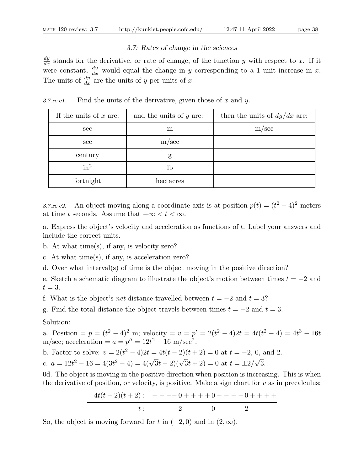### 3.7: Rates of change in the sciences

 $\frac{dy}{dx}$  stands for the derivative, or rate of change, of the function y with respect to x. If it were constant,  $\frac{dy}{dx}$  would equal the change in y corresponding to a 1 unit increase in x. The units of  $\frac{dy}{dx}$  are the units of y per units of x.

If the units of x are:  $\begin{array}{|c|c|} \hline \end{array}$  and the units of y are: then the units of  $dy/dx$  are: sec m m m/sec sec m/sec century g  $in^2$ lb fortnight hectacres

3.7. re.e. Find the units of the derivative, given those of x and y.

3.7.re.e2. An object moving along a coordinate axis is at position  $p(t) = (t^2 - 4)^2$  meters at time t seconds. Assume that  $-\infty < t < \infty$ .

a. Express the object's velocity and acceleration as functions of t. Label your answers and include the correct units.

- b. At what time(s), if any, is velocity zero?
- c. At what time(s), if any, is acceleration zero?
- d. Over what interval(s) of time is the object moving in the positive direction?
- e. Sketch a schematic diagram to illustrate the object's motion between times  $t = -2$  and  $t=3$ .
- f. What is the object's net distance travelled between  $t = -2$  and  $t = 3$ ?
- g. Find the total distance the object travels between times  $t = -2$  and  $t = 3$ .

Solution:

a. Position =  $p = (t^2 - 4)^2$  m; velocity =  $v = p' = 2(t^2 - 4)2t = 4t(t^2 - 4) = 4t^3 - 16t$ m/sec; acceleration =  $a = p'' = 12t^2 - 16$  m/sec<sup>2</sup>.

b. Factor to solve:  $v = 2(t^2 - 4)2t = 4t(t - 2)(t + 2) = 0$  at  $t = -2, 0$ , and 2.

c.  $a = 12t^2 - 16 = 4(3t^2 - 4) = 4(\sqrt{3}t - 2)(\sqrt{3}t + 2) = 0$  at  $t = \pm 2/\sqrt{3}$ .

0d. The object is moving in the positive direction when position is increasing. This is when the derivative of position, or velocity, is positive. Make a sign chart for  $v$  as in precalculus:

$$
\frac{4t(t-2)(t+2):}{t:} \frac{--(-1)++(-1)(t-2)-(-1)++(-1)(t+2)}{2}
$$

So, the object is moving forward for t in  $(-2, 0)$  and in  $(2, \infty)$ .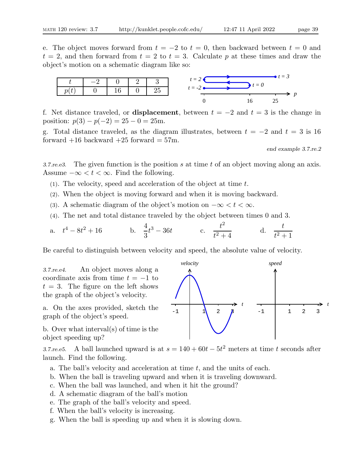e. The object moves forward from  $t = -2$  to  $t = 0$ , then backward between  $t = 0$  and  $t = 2$ , and then forward from  $t = 2$  to  $t = 3$ . Calculate p at these times and draw the object's motion on a schematic diagram like so:



f. Net distance traveled, or **displacement**, between  $t = -2$  and  $t = 3$  is the change in position:  $p(3) - p(-2) = 25 - 0 = 25$ m.

g. Total distance traveled, as the diagram illustrates, between  $t = -2$  and  $t = 3$  is 16 forward  $+16$  backward  $+25$  forward  $= 57$ m.

end example 3.7.re.2

3.7. re. e3. The given function is the position s at time t of an object moving along an axis. Assume  $-\infty < t < \infty$ . Find the following.

(1). The velocity, speed and acceleration of the object at time t.

- (2). When the object is moving forward and when it is moving backward.
- (3). A schematic diagram of the object's motion on  $-\infty < t < \infty$ .
- (4). The net and total distance traveled by the object between times 0 and 3.

a. 
$$
t^4 - 8t^2 + 16
$$
 b.  $\frac{4}{3}t^3 - 36t$  c.  $\frac{t^2}{t^2 + 4}$  d.  $\frac{t}{t^2 + 1}$ 

Be careful to distinguish between velocity and speed, the absolute value of velocity.

3.7.re.e4. An object moves along a coordinate axis from time  $t = -1$  to  $t = 3$ . The figure on the left shows the graph of the object's velocity.

a. On the axes provided, sketch the graph of the object's speed.

b. Over what interval(s) of time is the object speeding up?

3.7.re.e5. A ball launched upward is at  $s = 140 + 60t - 5t^2$  meters at time t seconds after launch. Find the following.

- a. The ball's velocity and acceleration at time  $t$ , and the units of each.
- b. When the ball is traveling upward and when it is traveling downward.
- c. When the ball was launched, and when it hit the ground?
- d. A schematic diagram of the ball's motion
- e. The graph of the ball's velocity and speed.
- f. When the ball's velocity is increasing.
- g. When the ball is speeding up and when it is slowing down.

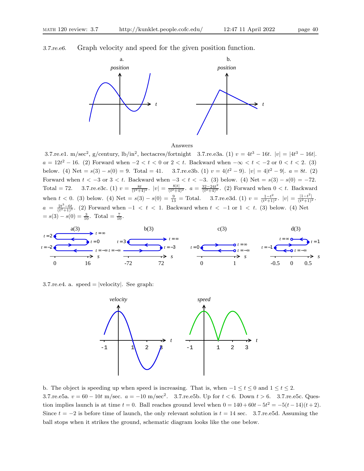3.7.re.e6. Graph velocity and speed for the given position function.



#### Answers

3.7.re.e1. m/sec<sup>2</sup>, g/century,  $1b/in^2$ , hectacres/fortnight 3.7.re.e3a. (1)  $v = 4t^3 - 16t$ .  $|v| = |4t^3 - 16t|$ .  $a = 12t^2 - 16.$  (2) Forward when  $-2 < t < 0$  or  $2 < t$ . Backward when  $-\infty < t < -2$  or  $0 < t < 2.$  (3) below. (4) Net =  $s(3) - s(0) = 9$ . Total = 41. 3.7.re.e3b. (1)  $v = 4(t^2 - 9)$ .  $|v| = 4|t^2 - 9|$ .  $a = 8t$ . (2) Forward when  $t < -3$  or  $3 < t$ . Backward when  $-3 < t < -3$ . (3) below. (4) Net =  $s(3) - s(0) = -72$ . Total = 72. 3.7.re.e3c. (1)  $v = \frac{8t}{(t^2+4)^2}$ .  $|v| = \frac{8|t|}{(t^2+4)^2}$ .  $a = \frac{32-24t^2}{(t^2+4)^3}$  $\frac{32-24t^2}{(t^2+4)^3}$ . (2) Forward when  $0 < t$ . Backward when  $t < 0$ . (3) below. (4) Net =  $s(3) - s(0) = \frac{9}{13}$  = Total. 3.7.re.e3d. (1)  $v = \frac{1-t^2}{(t^2+1)}$  $\frac{1-t^2}{(t^2+1)^2}$ .  $|v| = \frac{|1-t^2|}{(t^2+1)^2}$ .  $a = \frac{2t^3-6t}{(t^2+1)^3}$ . (2) Forward when  $-1 < t < 1$ . Backward when  $t < -1$  or  $1 < t$ . (3) below. (4) Net  $= s(3) - s(0) = \frac{3}{10}$ . Total  $= \frac{7}{10}$ .



3.7. re.e4. a. speed  $=$  |velocity|. See graph:



b. The object is speeding up when speed is increasing. That is, when  $-1 \le t \le 0$  and  $1 \le t \le 2$ . 3.7.re.e5a.  $v = 60 - 10t$  m/sec.  $a = -10$  m/sec<sup>2</sup>. 3.7.re.e5b. Up for  $t < 6$ . Down  $t > 6$ . 3.7.re.e5c. Question implies launch is at time  $t = 0$ . Ball reaches ground level when  $0 = 140 + 60t - 5t^2 = -5(t - 14)(t + 2)$ . Since  $t = -2$  is before time of launch, the only relevant solution is  $t = 14$  sec. 3.7.re.e5d. Assuming the ball stops when it strikes the ground, schematic diagram looks like the one below.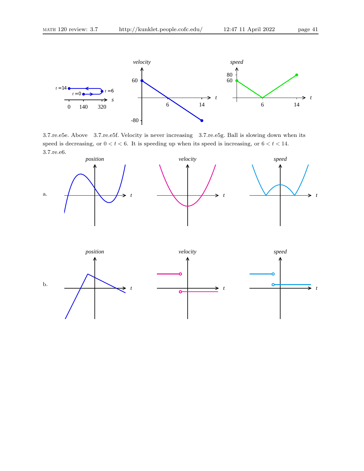

3.7.re.e5e. Above 3.7.re.e5f. Velocity is never increasing 3.7.re.e5g. Ball is slowing down when its speed is decreasing, or  $0 < t < 6$ . It is speeding up when its speed is increasing, or  $6 < t < 14$ . 3.7.re.e6.

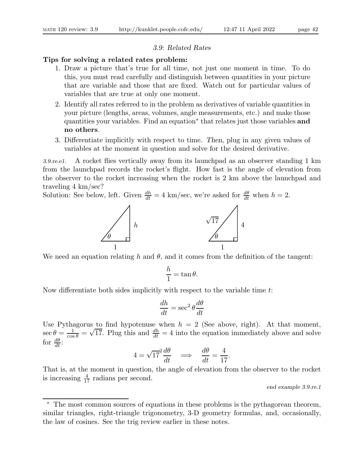#### 3.9: Related Rates

### Tips for solving a related rates problem:

- 1. Draw a picture that's true for all time, not just one moment in time. To do this, you must read carefully and distinguish between quantities in your picture that are variable and those that are fixed. Watch out for particular values of variables that are true at only one moment.
- 2. Identify all rates referred to in the problem as derivatives of variable quantities in your picture (lengths, areas, volumes, angle measurements, etc.) and make those quantities your variables. Find an equation<sup>\*</sup> that relates just those variables **and** no others.
- 3. Differentiate implicitly with respect to time. Then, plug in any given values of variables at the moment in question and solve for the desired derivative.

3.9.re.e1. A rocket flies vertically away from its launchpad as an observer standing 1 km from the launchpad records the rocket's flight. How fast is the angle of elevation from the observer to the rocket increasing when the rocket is 2 km above the launchpad and traveling 4 km/sec?

Solution: See below, left. Given  $\frac{dh}{dt} = 4 \text{ km/sec}$ , we're asked for  $\frac{d\theta}{dt}$  when  $h = 2$ .



We need an equation relating h and  $\theta$ , and it comes from the definition of the tangent:

$$
\frac{h}{1} = \tan \theta.
$$

Now differentiate both sides implicitly with respect to the variable time t:

$$
\frac{dh}{dt} = \sec^2 \theta \frac{d\theta}{dt}
$$

Use Pythagorus to find hypotenuse when  $h = 2$  (See above, right). At that moment,  $\sec \theta = \frac{1}{\cos \theta} = \sqrt{17}$ . Plug this and  $\frac{dh}{dt} = 4$  into the equation immediately above and solve for  $\frac{d\theta}{dt}$ :

$$
4 = \sqrt{17^2} \frac{d\theta}{dt} \quad \Longrightarrow \quad \frac{d\theta}{dt} = \frac{4}{17}.
$$

That is, at the moment in question, the angle of elevation from the observer to the rocket is increasing  $\frac{4}{17}$  radians per second.

end example 3.9.re.1

<sup>∗</sup> The most common sources of equations in these problems is the pythagorean theorem, similar triangles, right-triangle trigonometry, 3-D geometry formulas, and, occasionally, the law of cosines. See the trig review earlier in these notes.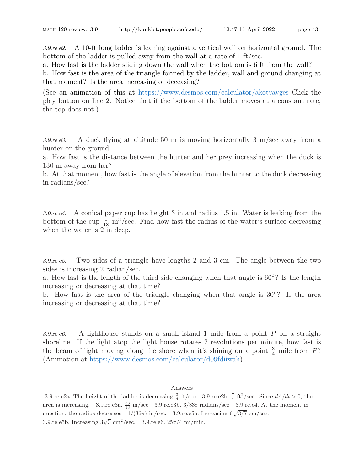3.9.re.e2. A 10-ft long ladder is leaning against a vertical wall on horizontal ground. The bottom of the ladder is pulled away from the wall at a rate of 1 ft/sec.

a. How fast is the ladder sliding down the wall when the bottom is 6 ft from the wall?

b. How fast is the area of the triangle formed by the ladder, wall and ground changing at that moment? Is the area increasing or deceasing?

(See an animation of this at https://www.desmos.com/calculator/akotvavges Click the play button on line 2. Notice that if the bottom of the ladder moves at a constant rate, the top does not.)

3.9.re.e3. A duck flying at altitude 50 m is moving horizontally 3 m/sec away from a hunter on the ground.

a. How fast is the distance between the hunter and her prey increasing when the duck is 130 m away from her?

b. At that moment, how fast is the angle of elevation from the hunter to the duck decreasing in radians/sec?

3.9.re.e4. A conical paper cup has height 3 in and radius 1.5 in. Water is leaking from the bottom of the cup  $\frac{1}{18}$  in<sup>3</sup>/sec. Find how fast the radius of the water's surface decreasing when the water is 2 in deep.

3.9.re.e5. Two sides of a triangle have lengths 2 and 3 cm. The angle between the two sides is increasing 2 radian/sec.

a. How fast is the length of the third side changing when that angle is 60◦ ? Is the length increasing or decreasing at that time?

b. How fast is the area of the triangle changing when that angle is 30◦ ? Is the area increasing or decreasing at that time?

3.9.re.e6. A lighthouse stands on a small island 1 mile from a point P on a straight shoreline. If the light atop the light house rotates 2 revolutions per minute, how fast is the beam of light moving along the shore when it's shining on a point  $\frac{3}{4}$  mile from P? (Animation at https://www.desmos.com/calculator/d09fdiiwah)

#### Answers

3.9.re.e2a. The height of the ladder is decreasing  $\frac{3}{4}$  ft/sec 3.9.re.e2b.  $\frac{7}{4}$  ft<sup>2</sup>/sec. Since  $dA/dt > 0$ , the area is increasing. 3.9.re.e3a.  $\frac{36}{13}$  m/sec 3.9.re.e3b. 3/338 radians/sec 3.9.re.e4. At the moment in question, the radius decreases  $-1/(36\pi)$  in/sec. 3.9.re.e5a. Increasing  $6\sqrt{3/7}$  cm/sec. 3.9.re.e5b. Increasing  $3\sqrt{3}$  cm<sup>2</sup>/sec. 3.9.re.e6.  $25\pi/4$  mi/min.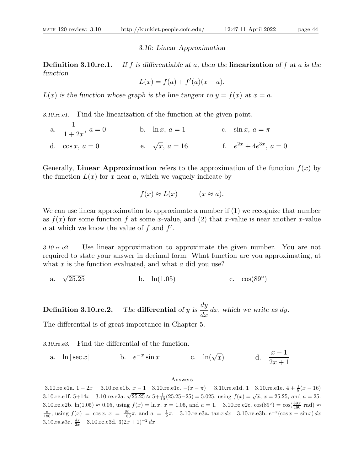#### 3.10: Linear Approximation

**Definition 3.10.re.1.** If f is differentiable at a, then the linearization of f at a is the function

 $L(x) = f(a) + f'(a)(x - a).$ 

 $L(x)$  is the function whose graph is the line tangent to  $y = f(x)$  at  $x = a$ .

3.10.re.e1. Find the linearization of the function at the given point.

a. 1  $1 + 2x$ b.  $\ln x, a = 1$  c.  $\sin x, a = \pi$ d.  $\cos x, a = 0$  e.  $\sqrt{x}, a = 16$  $\overline{x}$ ,  $a = 16$  f.  $e^{2x} + 4e^{3x}$ ,  $a = 0$ 

Generally, Linear Approximation refers to the approximation of the function  $f(x)$  by the function  $L(x)$  for x near a, which we vaguely indicate by

$$
f(x) \approx L(x) \qquad (x \approx a).
$$

We can use linear approximation to approximate a number if  $(1)$  we recognize that number as  $f(x)$  for some function f at some x-value, and (2) that x-value is near another x-value a at which we know the value of  $f$  and  $f'$ .

3.10.re.e2. Use linear approximation to approximate the given number. You are not required to state your answer in decimal form. What function are you approximating, at what  $x$  is the function evaluated, and what  $a$  did you use?

a. 
$$
\sqrt{25.25}
$$
 b.  $\ln(1.05)$  c.  $\cos(89^\circ)$ 

**Definition 3.10.re.2.** The differential of  $y$  is dy  $\frac{dy}{dx}$  dx, which we write as dy.

The differential is of great importance in Chapter 5.

3.10.re.e3. Find the differential of the function.

a.  $\ln |\sec x|$  b.  $e^{-x} \sin x$  c.  $\ln(\sqrt{\tan^2 x})$  $\overline{x}$ ) d.  $\frac{x-1}{2x+1}$  $2x + 1$ 

#### Answers

3.10.re.e1a. 1 − 2x 3.10.re.e1b. x − 1 3.10.re.e1c.  $-(x - \pi)$  3.10.re.e1d. 1 3.10.re.e1e. 4 +  $\frac{1}{8}(x - 16)$ 3.10.re.e1f. 5+14x 3.10.re.e2a.  $\sqrt{25.25} \approx 5 + \frac{1}{10} (25.25 - 25) = 5.025$ , using  $f(x) = \sqrt{x}$ ,  $x = 25.25$ , and  $a = 25$ . 3.10.re.e2b.  $\ln(1.05) \approx 0.05$ , using  $f(x) = \ln x$ ,  $x = 1.05$ , and  $a = 1$ . 3.10.re.e2c.  $\cos(89^\circ) = \cos(\frac{89\pi}{180} \text{ rad}) \approx$  $\frac{\pi}{180}$ , using  $f(x) = \cos x$ ,  $x = \frac{89}{180}\pi$ , and  $a = \frac{1}{2}\pi$ . 3.10.re.e3a. tan  $x dx$  3.10.re.e3b.  $e^{-x}(\cos x - \sin x) dx$ 3.10.re.e3c.  $\frac{dx}{2x}$  3.10.re.e3d. 3 $(2x+1)^{-2} dx$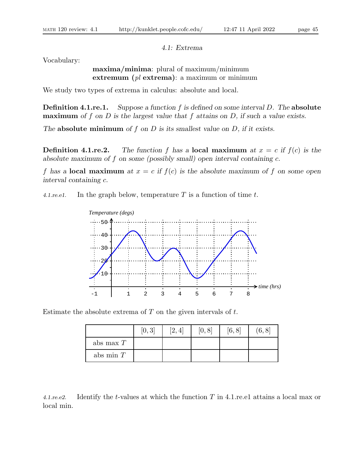4.1: Extrema

Vocabulary:

maxima/minima: plural of maximum/minimum extremum  $\left(\text{pl} \right)$  extrema): a maximum or minimum

We study two types of extrema in calculus: absolute and local.

**Definition 4.1.re.1.** Suppose a function  $f$  is defined on some interval  $D$ . The absolute **maximum** of f on D is the largest value that f attains on D, if such a value exists.

The **absolute minimum** of  $f$  on  $D$  is its smallest value on  $D$ , if it exists.

**Definition 4.1.re.2.** The function f has a local maximum at  $x = c$  if  $f(c)$  is the absolute maximum of f on some (possibly small) open interval containing c.

f has a **local maximum** at  $x = c$  if  $f(c)$  is the absolute maximum of f on some open interval containing c.

4.1. re. e1. In the graph below, temperature  $T$  is a function of time  $t$ .



Estimate the absolute extrema of  $T$  on the given intervals of  $t$ .

|             | [0,3] | [2, 4] | [0,8] | [6, 8] | 6, 8 |
|-------------|-------|--------|-------|--------|------|
| abs max $T$ |       |        |       |        |      |
| abs min $T$ |       |        |       |        |      |

4.1.re.e2. Identify the t-values at which the function T in 4.1.re.e1 attains a local max or local min.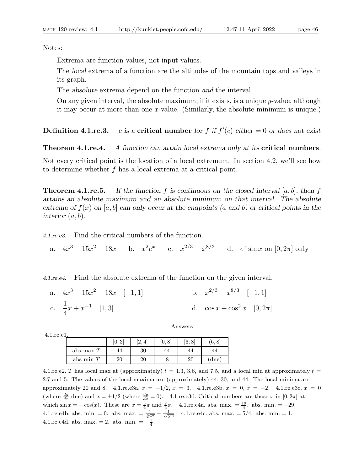Notes:

Extrema are function values, not input values.

The local extrema of a function are the altitudes of the mountain tops and valleys in its graph.

The absolute extrema depend on the function and the interval.

On any given interval, the absolute maximum, if it exists, is a unique  $y$ -value, although it may occur at more than one x-value. (Similarly, the absolute minimum is unique.)

**Definition 4.1.re.3.** c is a critical number for f if  $f'(c)$  either  $= 0$  or does not exist

**Theorem 4.1.re.4.** A function can attain local extrema only at its **critical numbers**.

Not every critical point is the location of a local extremum. In section 4.2, we'll see how to determine whether f has a local extrema at a critical point.

**Theorem 4.1.re.5.** If the function f is continuous on the closed interval [a, b], then f attains an absolute maximum and an absolute minimum on that interval. The absolute extrema of  $f(x)$  on [a, b] can only occur at the endpoints (a and b) or critical points in the interior  $(a, b)$ .

4.1.re.e3. Find the critical numbers of the function.

a.  $4x^3 - 15x^2 - 18x$  b.  $x^2e^x$  c.  $x^{2/3} - x^{8/3}$  d.  $e^x \sin x$  on  $[0, 2\pi]$  only

4.1.re.e4. Find the absolute extrema of the function on the given interval.

| a. $4x^3 - 15x^2 - 18x \quad [-1,1]$ |  | b. $x^{2/3} - x^{8/3} \quad [-1,1]$    |  |
|--------------------------------------|--|----------------------------------------|--|
| c. $\frac{1}{4}x + x^{-1}$ [1,3]     |  | d. $\cos x + \cos^2 x \quad [0, 2\pi]$ |  |

4.1.re.e1.

|             | $\Omega$<br>[0,3 | 4<br>$L \rightarrow 0$ | [0,8 | 6, 8 | $\,6,8$ |
|-------------|------------------|------------------------|------|------|---------|
| abs max $T$ | 44               | 30                     | 44   |      |         |
| abs min $T$ | 20               | 20                     |      | റ    | dne     |

4.1.re.e2. T has local max at (approximately)  $t = 1.3, 3.6,$  and 7.5, and a local min at approximately  $t =$ 2.7 and 5. The values of the local maxima are (approximately) 44, 30, and 44. The local minima are approximately 20 and 8. 4.1.re.e3a.  $x = -1/2$ ,  $x = 3$ . 4.1.re.e3b.  $x = 0$ ,  $x = -2$ . 4.1.re.e3c.  $x = 0$ (where  $\frac{dy}{dx}$  dne) and  $x = \pm 1/2$  (where  $\frac{dy}{dx} = 0$ ). 4.1.re.e3d. Critical numbers are those x in [0, 2π] at which  $\sin x = -\cos(x)$ . These are  $x = \frac{3}{4}\pi$  and  $\frac{7}{4}\pi$ . 4.1.re.e4a. abs. max. =  $\frac{19}{4}$ . abs. min. = -29. 4.1.re.e4b. abs. min. = 0. abs. max. =  $\frac{1}{\sqrt[3]{2^2}} - \frac{1}{\sqrt[3]{2^{10}}}$  4.1.re.e4c. abs. max. = 5/4. abs. min. = 1. 4.1.re.e4d. abs. max. = 2. abs. min. =  $-\frac{1}{4}$ .

Answers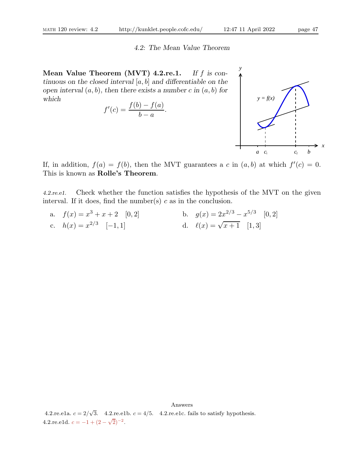#### 4.2: The Mean Value Theorem

Mean Value Theorem (MVT)  $4.2$ re.1. If f is continuous on the closed interval  $[a, b]$  and differentiable on the open interval  $(a, b)$ , then there exists a number c in  $(a, b)$  for which

$$
f'(c) = \frac{f(b) - f(a)}{b - a}.
$$



If, in addition,  $f(a) = f(b)$ , then the MVT guarantees a c in  $(a, b)$  at which  $f'(c) = 0$ . This is known as Rolle's Theorem.

4.2.re.e1. Check whether the function satisfies the hypothesis of the MVT on the given interval. If it does, find the number(s)  $c$  as in the conclusion.

a.  $f(x) = x^3 + x + 2$  [0, 2]  $3+x+2$  [0, 2] b.  $g(x) = 2x^{2/3} - x^{5/3}$  [0, 2] c.  $h(x) = x^{2/3}$ [-1, 1] d.  $\ell(x) = \sqrt{x+1}$  [1, 3]

Answers 4.2.re.e1a.  $c = 2/\sqrt{3}$ . 4.2.re.e1b.  $c = 4/5$ . 4.2.re.e1c. fails to satisfy hypothesis. 4.2.re.e1d.  $c = -1 + (2 - \sqrt{2})^{-2}$ .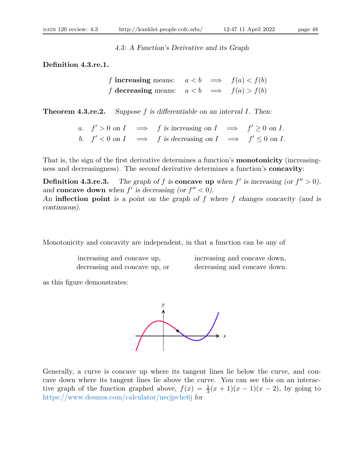#### 4.3: A Function's Derivative and its Graph

Definition 4.3.re.1.

f increasing means:  $a < b \implies f(a) < f(b)$ f decreasing means:  $a < b \implies f(a) > f(b)$ 

**Theorem 4.3.re.2.** Suppose f is differentiable on an interval I. Then:

a.  $f' > 0$  on  $I \implies f$  is increasing on  $I \implies f' \ge 0$  on  $I$ . b.  $f' < 0$  on  $I \implies f$  is decreasing on  $I \implies f' \leq 0$  on  $I$ .

That is, the sign of the first derivative determines a function's **monotonicity** (increasingness and decreasingness). The second derivative determines a function's **concavity**:

**Definition 4.3.re.3.** The graph of f is **concave up** when  $f'$  is increasing (or  $f'' > 0$ ), and concave down when  $f'$  is decreasing (or  $f'' < 0$ ). An **inflection point** is a point on the graph of f where f changes concavity (and is continuous).

Monotonicity and concavity are independent, in that a function can be any of

| increasing and concave up,    |  |  |
|-------------------------------|--|--|
| decreasing and concave up, or |  |  |

| increasing and concave up,    | increasing and concave down, |
|-------------------------------|------------------------------|
| decreasing and concave up, or | decreasing and concave down. |

as this figure demonstrates:



Generally, a curve is concave up where its tangent lines lie below the curve, and concave down where its tangent lines lie above the curve. You can see this on an interactive graph of the function graphed above,  $f(x) = \frac{1}{3}(x+1)(x-1)(x-2)$ , by going to https://www.desmos.com/calculator/necjpvhc6j for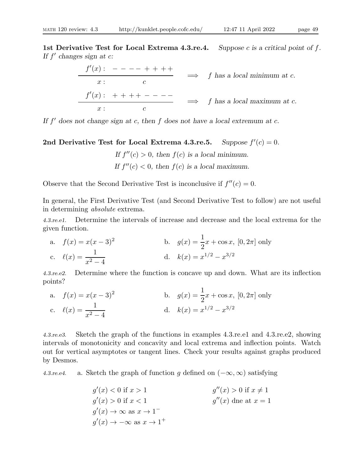$$
\frac{f'(x) : - - - - + + + + +}{x : c} \implies f \text{ has a local minimum at } c.
$$
\n
$$
\frac{f'(x) : + + + + - - - -}{x : c} \implies f \text{ has a local maximum at } c.
$$

If  $f'$  does not change sign at c, then  $f$  does not have a local extremum at c.

2nd Derivative Test for Local Extrema 4.3.re.5.  $'(c) = 0.$ 

> If  $f''(c) > 0$ , then  $f(c)$  is a local minimum. If  $f''(c) < 0$ , then  $f(c)$  is a local maximum.

Observe that the Second Derivative Test is inconclusive if  $f''(c) = 0$ .

In general, the First Derivative Test (and Second Derivative Test to follow) are not useful in determining absolute extrema.

4.3.re.e1. Determine the intervals of increase and decrease and the local extrema for the given function.

a. 
$$
f(x) = x(x-3)^2
$$
  
\nb.  $g(x) = \frac{1}{2}x + \cos x, [0, 2\pi]$  only  
\nc.  $\ell(x) = \frac{1}{x^2 - 4}$   
\nd.  $k(x) = x^{1/2} - x^{3/2}$ 

4.3.re.e2. Determine where the function is concave up and down. What are its inflection points?

a. 
$$
f(x) = x(x-3)^2
$$
  
\nb.  $g(x) = \frac{1}{2}x + \cos x, [0, 2\pi]$  only  
\nc.  $\ell(x) = \frac{1}{x^2 - 4}$   
\nd.  $k(x) = x^{1/2} - x^{3/2}$ 

4.3.re.e3. Sketch the graph of the functions in examples 4.3.re.e1 and 4.3.re.e2, showing intervals of monotonicity and concavity and local extrema and inflection points. Watch out for vertical asymptotes or tangent lines. Check your results against graphs produced by Desmos.

4.3.re.e4. a. Sketch the graph of function g defined on  $(-\infty, \infty)$  satisfying

$$
g'(x) < 0 \text{ if } x > 1
$$
  
\n
$$
g'(x) > 0 \text{ if } x < 1
$$
  
\n
$$
g'(x) > 0 \text{ if } x < 1
$$
  
\n
$$
g'(x) \to \infty \text{ as } x \to 1^-
$$
  
\n
$$
g'(x) \to -\infty \text{ as } x \to 1^+
$$
  
\n
$$
g'(x) \to -\infty \text{ as } x \to 1^+
$$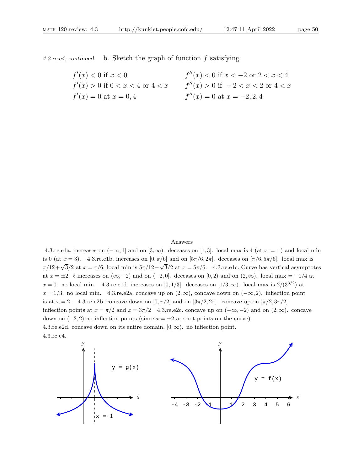4.3.re.e4, continued. b. Sketch the graph of function f satisfying

| $f'(x) < 0$ if $x < 0$                | $f''(x) < 0$ if $x < -2$ or $2 < x < 4$ |
|---------------------------------------|-----------------------------------------|
| $f'(x) > 0$ if $0 < x < 4$ or $4 < x$ | $f''(x) > 0$ if $-2 < x < 2$ or $4 < x$ |
| $f'(x) = 0$ at $x = 0, 4$             | $f''(x) = 0$ at $x = -2, 2, 4$          |

#### Answers

4.3.re.e1a. increases on  $(-\infty, 1]$  and on  $[3, \infty)$ . deceases on [1,3]. local max is 4 (at  $x = 1$ ) and local min is 0 (at  $x = 3$ ). 4.3.re.e1b. increases on  $[0, \pi/6]$  and on  $[5\pi/6, 2\pi]$ . deceases on  $[\pi/6, 5\pi/6]$ . local max is  $\pi/12 + \sqrt{3}/2$  at  $x = \pi/6$ ; local min is  $5\pi/12 - \sqrt{3}/2$  at  $x = 5\pi/6$ . 4.3.re.e1c. Curve has vertical asymptotes at  $x = \pm 2$ .  $\ell$  increases on  $(\infty, -2)$  and on  $(-2, 0]$ . deceases on  $[0, 2)$  and on  $(2, \infty)$ . local max = -1/4 at  $x = 0$ . no local min. 4.3.re.e1d. increases on [0, 1/3]. deceases on [1/3, ∞). local max is  $2/(3^{3/2})$  at  $x = 1/3$ . no local min. 4.3.re.e2a. concave up on  $(2, \infty)$ , concave down on  $(-\infty, 2)$ . inflection point is at  $x = 2$ . 4.3.re.e2b. concave down on  $[0, \pi/2]$  and on  $[3\pi/2, 2\pi]$ . concave up on  $[\pi/2, 3\pi/2]$ . inflection points at  $x = \pi/2$  and  $x = 3\pi/2$  4.3.re.e2c. concave up on  $(-\infty, -2)$  and on  $(2, \infty)$ . concave down on  $(-2, 2)$  no inflection points (since  $x = \pm 2$  are not points on the curve). 4.3.re.e2d. concave down on its entire domain,  $[0, \infty)$ . no inflection point. 4.3.re.e4.

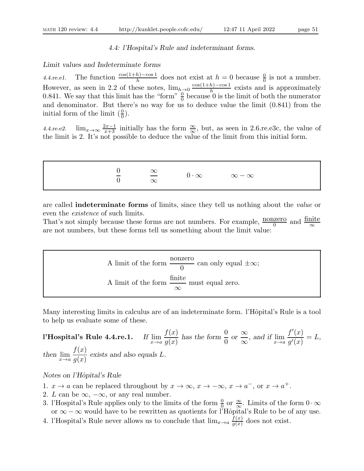### 4.4: l'Hospital's Rule and indeterminant forms.

#### Limit values and Indeterminate forms

4.4.re.e1. The function  $\frac{\cos(1+h)-\cos 1}{h}$  does not exist at  $h=0$  because  $\frac{0}{0}$  is not a number. However, as seen in 2.2 of these notes,  $\lim_{h\to 0} \frac{\cos(1+h)-\cos 1}{h}$  exists and is approximately 0.841. We say that this limit has the "form"  $\frac{0}{0}$  because 0 is the limit of both the numerator and denominator. But there's no way for us to deduce value the limit (0.841) from the initial form of the limit  $(\frac{0}{0})$ .

4.4.re.e2.  $\lim_{x\to\infty} \frac{2x-1}{x+3}$  initially has the form  $\frac{\infty}{\infty}$ , but, as seen in 2.6.re.e3c, the value of the limit is 2. It's not possible to deduce the value of the limit from this initial form.

0 0 ∞ ∞ 0 · ∞ ∞ − ∞

are called indeterminate forms of limits, since they tell us nothing about the value or even the existence of such limits.

That's not simply because these forms are not numbers. For example,  $\frac{\text{nonzero}}{0}$  and  $\frac{\text{finite}}{\infty}$ are not numbers, but these forms tell us something about the limit value:

A limit of the form 
$$
\frac{\text{nonzero}}{0}
$$
 can only equal  $\pm \infty$ ;  
A limit of the form  $\frac{\text{finite}}{\infty}$  must equal zero.

Many interesting limits in calculus are of an indeterminate form. l'Hôpital's Rule is a tool to help us evaluate some of these.

l'Hospital's Rule 4.4.re.1.  $f(x)$  $g(x)$ has the form  $\frac{0}{0}$  $\theta$  $\alpha$   $\frac{\infty}{\alpha}$  $\frac{\infty}{\infty}$ , and if  $\lim_{x \to a}$  $f'(x)$  $g^\prime(x)$  $= L,$ then  $\lim_{x\to a}$  $f(x)$  $g(x)$ exists and also equals L.

## Notes on l'Hôpital's Rule

- 1.  $x \to a$  can be replaced throughout by  $x \to \infty$ ,  $x \to -\infty$ ,  $x \to a^-$ , or  $x \to a^+$ .
- 2. L can be  $\infty$ ,  $-\infty$ , or any real number.
- 3. l'Hospital's Rule applies only to the limits of the form  $\frac{0}{0}$  or  $\frac{\infty}{\infty}$ . Limits of the form  $0 \cdot \infty$ or  $\infty - \infty$  would have to be rewritten as quotients for l'Hôpital's Rule to be of any use.
- 4. l'Hospital's Rule never allows us to conclude that  $\lim_{x\to a} \frac{f(x)}{g(x)}$  $\frac{f(x)}{g(x)}$  does not exist.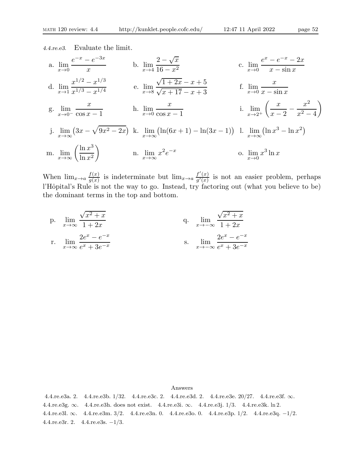4.4.re.e3. Evaluate the limit.

a. 
$$
\lim_{x \to 0} \frac{e^{-x} - e^{-3x}}{x}
$$
  
\nb.  $\lim_{x \to 4} \frac{2 - \sqrt{x}}{16 - x^2}$   
\nc.  $\lim_{x \to 0} \frac{e^x - e^{-x} - 2x}{x - \sin x}$   
\nd.  $\lim_{x \to 1} \frac{x^{1/2} - x^{1/3}}{x^{1/3} - x^{1/4}}$   
\ne.  $\lim_{x \to 8} \frac{\sqrt{1 + 2x} - x + 5}{\sqrt{x + 17} - x + 3}$   
\nf.  $\lim_{x \to 0} \frac{x}{x - \sin x}$   
\ng.  $\lim_{x \to 0^-} \frac{x}{\cos x - 1}$   
\nh.  $\lim_{x \to 0} \frac{x}{\cos x - 1}$   
\ni.  $\lim_{x \to 2^+} \left(\frac{x}{x - 2} - \frac{x^2}{x^2 - 4}\right)$   
\nj.  $\lim_{x \to \infty} (3x - \sqrt{9x^2 - 2x})$   
\nk.  $\lim_{x \to \infty} (\ln(6x + 1) - \ln(3x - 1))$   
\nl.  $\lim_{x \to \infty} (\ln x^3 - \ln x^2)$   
\nm.  $\lim_{x \to \infty} \left(\frac{\ln x^3}{\ln x^2}\right)$   
\nn.  $\lim_{x \to \infty} x^2 e^{-x}$   
\no.  $\lim_{x \to 0} x^3 \ln x$ 

When  $\lim_{x\to a} \frac{f(x)}{g(x)}$  $\frac{f(x)}{g(x)}$  is indeterminate but  $\lim_{x\to a} \frac{f'(x)}{g'(x)}$  $\frac{f(x)}{g'(x)}$  is not an easier problem, perhaps l'Hôpital's Rule is not the way to go. Instead, try factoring out (what you believe to be) the dominant terms in the top and bottom.

p. 
$$
\lim_{x \to \infty} \frac{\sqrt{x^2 + x}}{1 + 2x}
$$
  
\nq.  $\lim_{x \to \infty} \frac{\sqrt{x^2 + x}}{1 + 2x}$   
\nr.  $\lim_{x \to \infty} \frac{2e^x - e^{-x}}{e^x + 3e^{-x}}$   
\ns.  $\lim_{x \to -\infty} \frac{2e^x - e^{-x}}{e^x + 3e^{-x}}$ 

Answers

4.4.re.e3a. 2. 4.4.re.e3b. 1/32. 4.4.re.e3c. 2. 4.4.re.e3d. 2. 4.4.re.e3e. 20/27. 4.4.re.e3f. ∞. 4.4.re.e3g. ∞. 4.4.re.e3h. does not exist. 4.4.re.e3i. ∞. 4.4.re.e3j. 1/3. 4.4.re.e3k. ln 2. 4.4.re.e3l. ∞. 4.4.re.e3m. 3/2. 4.4.re.e3n. 0. 4.4.re.e3o. 0. 4.4.re.e3p. 1/2. 4.4.re.e3q. −1/2. 4.4.re.e3r. 2. 4.4.re.e3s. −1/3.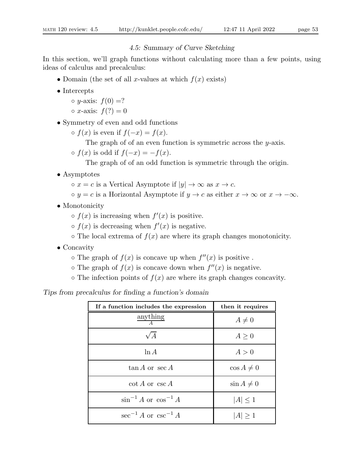## 4.5: Summary of Curve Sketching

In this section, we'll graph functions without calculating more than a few points, using ideas of calculus and precalculus:

- Domain (the set of all x-values at which  $f(x)$  exists)
- Intercepts
	- $\circ$  y-axis:  $f(0) = ?$
	- $\circ x$ -axis:  $f(?) = 0$
- Symmetry of even and odd functions

 $\circ$  f(x) is even if  $f(-x) = f(x)$ .

- The graph of of an even function is symmetric across the y-axis.
- $\circ$  f(x) is odd if  $f(-x) = -f(x)$ .

The graph of of an odd function is symmetric through the origin.

- Asymptotes
	- $\circ x = c$  is a Vertical Asymptote if  $|y| \to \infty$  as  $x \to c$ .
	- $\circ y = c$  is a Horizontal Asymptote if  $y \to c$  as either  $x \to \infty$  or  $x \to -\infty$ .
- Monotonicity

 $\circ$   $f(x)$  is increasing when  $f'(x)$  is positive.

- $\circ$   $f(x)$  is decreasing when  $f'(x)$  is negative.
- $\circ$  The local extrema of  $f(x)$  are where its graph changes monotonicity.
- Concavity
	- $\circ$  The graph of  $f(x)$  is concave up when  $f''(x)$  is positive.
	- $\circ$  The graph of  $f(x)$  is concave down when  $f''(x)$  is negative.
	- $\circ$  The infection points of  $f(x)$  are where its graph changes concavity.

Tips from precalculus for finding a function's domain

| If a function includes the expression | then it requires |
|---------------------------------------|------------------|
| anything<br>$\overline{A}$            | $A\neq 0$        |
| $\sqrt{A}$                            | A > 0            |
| $\ln A$                               | A>0              |
| $\tan A$ or $\sec A$                  | $\cos A \neq 0$  |
| $\cot A$ or $\csc A$                  | $\sin A \neq 0$  |
| $\sin^{-1} A$ or $\cos^{-1} A$        | $ A  \leq 1$     |
| $\sec^{-1} A$ or $\csc^{-1} A$        | $ A \geq 1$      |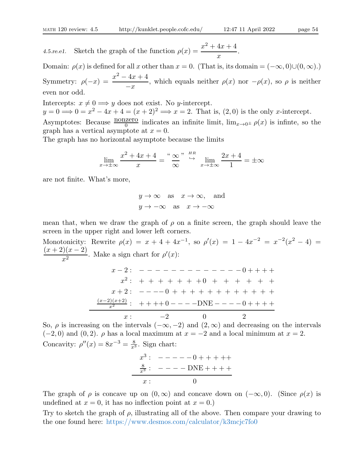4.5.re.e1. Sketch the graph of the function  $\rho(x) = \frac{x^2 + 4x + 4}{x}$  $\boldsymbol{x}$ .

Domain:  $\rho(x)$  is defined for all x other than  $x = 0$ . (That is, its domain =  $(-\infty, 0) \cup (0, \infty)$ .) Symmetry:  $\rho(-x) = \frac{x^2 - 4x + 4}{-x}$  $-x$ , which equals neither  $\rho(x)$  nor  $-\rho(x)$ , so  $\rho$  is neither even nor odd.

Intercepts:  $x \neq 0 \Longrightarrow y$  does not exist. No y-intercept.  $y = 0 \Longrightarrow 0 = x^2 - 4x + 4 = (x + 2)^2 \Longrightarrow x = 2$ . That is,  $(2, 0)$  is the only *x*-intercept. Asymptotes: Because  $\frac{\text{nonzero}}{0}$  indicates an infinite limit,  $\lim_{x\to 0^{\pm}} \rho(x)$  is infinite, so the graph has a vertical asymptote at  $x = 0$ .

The graph has no horizontal asymptote because the limits

$$
\lim_{x \to \pm \infty} \frac{x^2 + 4x + 4}{x} = \frac{4 \infty}{\infty}, \quad \frac{4\pi}{3} \lim_{x \to \pm \infty} \frac{2x + 4}{1} = \pm \infty
$$

are not finite. What's more,

$$
y \to \infty
$$
 as  $x \to \infty$ , and  
 $y \to -\infty$  as  $x \to -\infty$ 

mean that, when we draw the graph of  $\rho$  on a finite screen, the graph should leave the screen in the upper right and lower left corners.

Monotonicity: Rewrite  $\rho(x) = x + 4 + 4x^{-1}$ , so  $\rho'(x) = 1 - 4x^{-2} = x^{-2}(x^2 - 4) =$  $(x+2)(x-2)$  $\frac{\sqrt{x}}{x^2}$ . Make a sign chart for  $\rho'(x)$ : x − 2 : − − − − − − − − − − − − − 0 + + + +  $x^2:$  + + + + + + + 0 + + + + + + x + 2 : − − −− 0 + + + + + + + + + + + +  $\frac{(x-2)(x+2)}{x^2}$ : ++++0 - - - -DNE - - - - 0 + + + +  $x: -2 \t 0 \t 2$ 

So,  $\rho$  is increasing on the intervals  $(-\infty, -2)$  and  $(2, \infty)$  and decreasing on the intervals  $(-2, 0)$  and  $(0, 2)$ .  $\rho$  has a local maximum at  $x = -2$  and a local minimum at  $x = 2$ . Concavity:  $\rho''(x) = 8x^{-3} = \frac{8}{x^3}$ . Sign chart:

$$
x^{3}: \ ----0+++++
$$
  

$$
\frac{8}{x^{3}}: \ ----DNE+++
$$
  

$$
x: \qquad 0
$$

The graph of  $\rho$  is concave up on  $(0, \infty)$  and concave down on  $(-\infty, 0)$ . (Since  $\rho(x)$  is undefined at  $x = 0$ , it has no inflection point at  $x = 0$ .)

Try to sketch the graph of  $\rho$ , illustrating all of the above. Then compare your drawing to the one found here: https://www.desmos.com/calculator/k3mcjc7fo0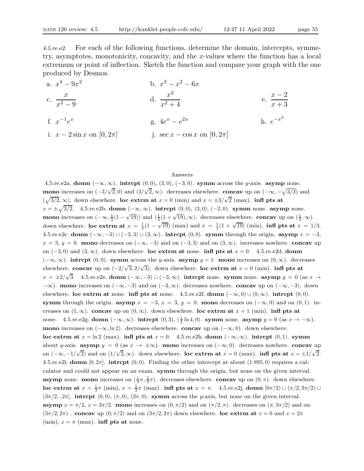4.5.re.e2. For each of the following functions, determine the domain, intercepts, symmetry, asymptotes, monotonicity, concavity, and the x-values where the function has a local extremum or point of inflection. Sketch the function and compare your graph with the one produced by Desmos.

| a. $x^4 - 9x^2$                 | b. $x^3 - x^2 - 6x$                 |                      |
|---------------------------------|-------------------------------------|----------------------|
| c. $\frac{x}{x^2-9}$            | d. $\frac{x^2}{x^2+4}$              | e. $\frac{x-2}{x+3}$ |
| f. $x^{-1}e^x$                  | g. $4e^x - e^{2x}$                  | h. $e^{-x^2}$        |
| i. $x - 2\sin x$ on $[0, 2\pi]$ | j. $\sec x - \cos x$ on $[0, 2\pi]$ |                      |

#### Answers

4.5.re.e2a. domn  $(-\infty, \infty)$ . intrept  $(0, 0)$ ,  $(3, 0)$ ,  $(-3, 0)$ . symm across the y-axis. asymp none. mono increases on  $(-3/\sqrt{2},0)$  and  $(3/\sqrt{2},\infty)$ . decreases elsewhere. concav up on  $(-\infty,-\sqrt{3/2})$  and  $(\sqrt{3}/2,\infty)$ . down elsewhere. loc extrm at  $x=0$  (min) and  $x=\pm 3/\sqrt{2}$  (max). infl pts at  $x = \pm \sqrt{3/2}$ . 4.5.re.e2b. domn  $(-\infty, \infty)$ . intrcpt  $(0, 0)$ ,  $(3, 0)$ ,  $(-2, 0)$ . symm none. asymp none. mono increases on  $(-\infty, \frac{1}{3}(1-\sqrt{19}))$  and  $(\frac{1}{3}(1+\sqrt{19}), \infty)$ . decreases elsewhere. concav up on  $(\frac{1}{3}, \infty)$ . down elsewhere. loc extrm at  $x = \frac{1}{3}(1 - \sqrt{19})$  (max) and  $x = \frac{1}{3}(1 + \sqrt{19})$  (min). infl pts at  $x = 1/3$ . 4.5.re.e2c. domn  $(-\infty, -3) \cup (-3, 3) \cup (3, \infty)$ . intropt  $(0, 0)$ . symm through the origin. asymp  $x = -3$ ,  $x = 3$ ,  $y = 0$ . mono decreases on  $(-\infty, -3)$  and on  $(-3, 3)$  and on  $(3, \infty)$ . increases nowhere. concav up on  $(-3,0)$  and  $(3,\infty)$ . down elsewhere. loc extrm at none. infl pts at  $x = 0$ . 4.5.re.e2d. domn  $(-\infty,\infty)$ . intrept (0,0). symm across the y-axis. asymp y = 1. mono increases on  $(0,\infty)$ . decreases elsewhere. concav up on  $(-2/\sqrt{3}, 2/\sqrt{3})$ . down elsewhere. loc extrm at  $x = 0$  (min). infl pts at  $x = \pm 2/\sqrt{3}$ . 4.5.re.e2e. domn  $(-\infty, -3) \cup (-3, \infty)$ . intropt none. symm none. asymp  $y = 0$  (as  $x \to$  $-\infty$ ). mono increases on  $(-\infty, -3)$  and on  $(-3, \infty)$ . decreases nowhere. concav up on  $(-\infty, -3)$ . down elsewhere. loc extrm at none. infl pts at none. 4.5.re.e2f. domn  $(-\infty,0) \cup (0,\infty)$ . intrcpt  $(0,0)$ . symm through the origin. asymp  $x = -3$ ,  $x = 3$ ,  $y = 0$ . mono decreases on  $(-\infty, 0)$  and on  $(0, 1)$ . increases on  $(1,\infty)$ . concav up on  $(0,\infty)$ . down elsewhere. loc extrm at  $x = 1$  (min). infl pts at none. 4.5.re.e2g. **domn**  $(-\infty, \infty)$ . **intrcpt**  $(0, 3)$ ,  $(\frac{1}{3} \ln 4, 0)$ . **symm** none. **asymp**  $y = 0$  (as  $x \to -\infty$ ). mono increases on  $(-\infty, \ln 2)$ . decreases elsewhere. concav up on  $(-\infty, 0)$ . down elsewhere. loc extrm at  $x = \ln 2$  (max). infl pts at  $x = 0$ . 4.5.re.e2h. domn ( $-\infty, \infty$ ). intrcpt (0, 1). symm about y-axis. asymp  $y = 0$  (as  $x \to \pm \infty$ ). mono increases on  $(-\infty, 0)$ . decreases nowhere. concav up on  $(-\infty, -1/\sqrt{2})$  and on  $(1/\sqrt{2}, \infty)$ . down elsewhere. loc extrm at  $x = 0$  (max). infl pts at  $x = \pm 1/\sqrt{2}$ . 4.5.re.e2i. domn  $[0, 2\pi]$ . intrept  $(0, 0)$ . Finding the other intercept at about  $(1.895, 0)$  requires a calculator and could not appear on an exam. symm through the origin, but none on the given interval. asymp none. mono increases on  $(\frac{1}{3}\pi, \frac{5}{3}\pi)$ . decreases elsewhere. concav up on  $(0, \pi)$ . down elsewhere. loc extrm at  $x = \frac{1}{3}\pi$  (min),  $x = \frac{5}{3}\pi$  (max). infl pts at  $x = \pi$ . 4.5.re.e2j. domn  $[0\pi/2) \cup (\pi/2, 3\pi/2) \cup$  $(3\pi/2, 2\pi]$ . intrcpt  $(0, 0)$ ,  $(\pi, 0)$ ,  $(2\pi, 0)$ . symm across the y-axis, but none on the given interval. asymp  $x = \pi/2$ ,  $x = 3\pi/2$ . mono increases on  $(0, \pi/2)$  and on  $(\pi/2, \pi)$ . decreases on  $(\pi, 3\pi/2)$  and on  $(3\pi/2, 2\pi)$ . concav up  $(0, \pi/2)$  and on  $(3\pi/2, 2\pi)$  down elsewhere. loc extrm at  $x = 0$  and  $x = 2\pi$ (min),  $x = \pi$  (max). **infl pts at** none.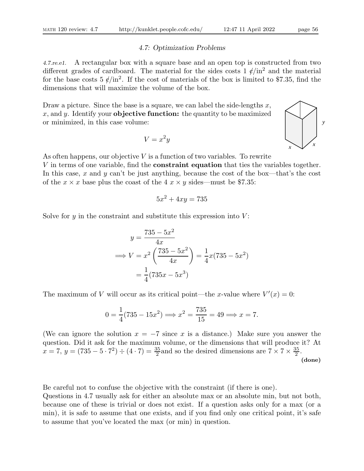## 4.7: Optimization Problems

4.7.re.e1. A rectangular box with a square base and an open top is constructed from two different grades of cardboard. The material for the sides costs  $1 \ell / \text{in}^2$  and the material for the base costs  $5 \frac{\ell}{\ln^2}$ . If the cost of materials of the box is limited to \$7.35, find the dimensions that will maximize the volume of the box.

Draw a picture. Since the base is a square, we can label the side-lengths  $x$ ,  $x$ , and  $y$ . Identify your **objective function:** the quantity to be maximized or minimized, in this case volume:

$$
V = x^2 y
$$

As often happens, our objective  $V$  is a function of two variables. To rewrite V in terms of one variable, find the constraint equation that ties the variables together. In this case, x and y can't be just anything, because the cost of the box—that's the cost of the  $x \times x$  base plus the coast of the 4  $x \times y$  sides—must be \$7.35:

$$
5x^2 + 4xy = 735
$$

Solve for  $\gamma$  in the constraint and substitute this expression into  $V$ :

$$
y = \frac{735 - 5x^2}{4x}
$$
  
\n
$$
\implies V = x^2 \left(\frac{735 - 5x^2}{4x}\right) = \frac{1}{4}x(735 - 5x^2)
$$
  
\n
$$
= \frac{1}{4}(735x - 5x^3)
$$

The maximum of V will occur as its critical point—the x-value where  $V'(x) = 0$ :

$$
0 = \frac{1}{4}(735 - 15x^2) \Longrightarrow x^2 = \frac{735}{15} = 49 \Longrightarrow x = 7.
$$

(We can ignore the solution  $x = -7$  since x is a distance.) Make sure you answer the question. Did it ask for the maximum volume, or the dimensions that will produce it? At  $x = 7$ ,  $y = (735 - 5 \cdot 7^2) \div (4 \cdot 7) = \frac{35}{2}$  and so the desired dimensions are  $7 \times 7 \times \frac{35}{2}$  $\frac{35}{2}$ . (done)

Be careful not to confuse the objective with the constraint (if there is one).

Questions in 4.7 usually ask for either an absolute max or an absolute min, but not both, because one of these is trivial or does not exist. If a question asks only for a max (or a min), it is safe to assume that one exists, and if you find only one critical point, it's safe to assume that you've located the max (or min) in question.

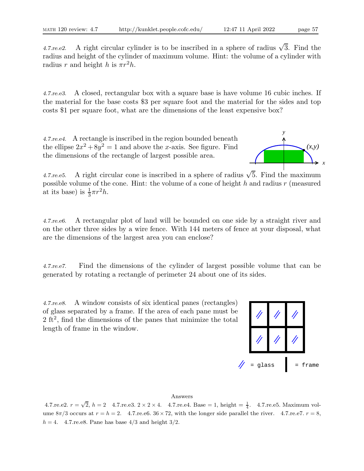4.7. re. e2. A right circular cylinder is to be inscribed in a sphere of radius  $\sqrt{3}$ . Find the radius and height of the cylinder of maximum volume. Hint: the volume of a cylinder with radius r and height h is  $\pi r^2 h$ .

4.7.re.e3. A closed, rectangular box with a square base is have volume 16 cubic inches. If the material for the base costs \$3 per square foot and the material for the sides and top costs \$1 per square foot, what are the dimensions of the least expensive box?

4.7.re.e4. A rectangle is inscribed in the region bounded beneath the ellipse  $2x^2 + 8y^2 = 1$  and above the x-axis. See figure. Find the dimensions of the rectangle of largest possible area.



4.7. re. e5. A right circular cone is inscribed in a sphere of radius  $\sqrt{5}$ . Find the maximum possible volume of the cone. Hint: the volume of a cone of height  $h$  and radius  $r$  (measured at its base) is  $\frac{1}{3}\pi r^2 h$ .

4.7.re.e6. A rectangular plot of land will be bounded on one side by a straight river and on the other three sides by a wire fence. With 144 meters of fence at your disposal, what are the dimensions of the largest area you can enclose?

4.7.re.e7. Find the dimensions of the cylinder of largest possible volume that can be generated by rotating a rectangle of perimeter 24 about one of its sides.

4.7.re.e8. A window consists of six identical panes (rectangles) of glass separated by a frame. If the area of each pane must be 2 ft<sup>2</sup>, find the dimensions of the panes that minimize the total length of frame in the window.



## Answers

4.7.re.e2.  $r = \sqrt{2}$ ,  $h = 2$  4.7.re.e3.  $2 \times 2 \times 4$ . 4.7.re.e4. Base = 1, height =  $\frac{1}{4}$ . 4.7.re.e5. Maximum volume  $8\pi/3$  occurs at  $r = h = 2$ . 4.7.re.e6.  $36 \times 72$ , with the longer side parallel the river. 4.7.re.e7.  $r = 8$ ,  $h = 4$ . 4.7. re. e8. Pane has base 4/3 and height 3/2.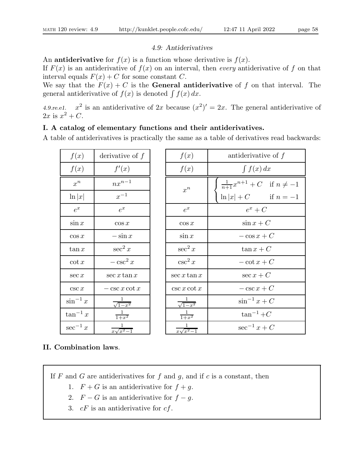# 4.9: Antiderivatives

An **antiderivative** for  $f(x)$  is a function whose derivative is  $f(x)$ .

If  $F(x)$  is an antiderivative of  $f(x)$  on an interval, then every antiderivative of f on that interval equals  $F(x) + C$  for some constant C.

We say that the  $F(x) + C$  is the **General antiderivative** of f on that interval. The general antiderivative of  $f(x)$  is denoted  $\int f(x) dx$ .

4.9.re.e1.  $x^2$  is an antiderivative of 2x because  $(x^2)' = 2x$ . The general antiderivative of  $2x \text{ is } x^2 + C.$ 

# I. A catalog of elementary functions and their antiderivatives.

A table of antiderivatives is practically the same as a table of derivatives read backwards:

| f(x)          | derivative of $f$         |
|---------------|---------------------------|
| f(x)          | f'(x)                     |
| $x^n$         | $nx^{n-1}$                |
| $\ln  x $     | $x^{-1}$                  |
| $e^x$         | $e^x$                     |
| $\sin x$      | $\cos x$                  |
| $\cos x$      | $-\sin x$                 |
| $\tan x$      | $\sec^2 x$                |
| $\cot x$      | $-\csc^2 x$               |
| $\sec x$      | $\sec x \tan x$           |
| $\csc x$      | $-\csc x \cot x$          |
| $\sin^{-1} x$ | $\frac{1}{\sqrt{1-x^2}}$  |
| $\tan^{-1} x$ | $\frac{1}{1+x^2}$         |
| $\sec^{-1} x$ | $\frac{1}{x\sqrt{x^2-1}}$ |

| f(x)                      | antiderivative of $f$                                                  |
|---------------------------|------------------------------------------------------------------------|
| f(x)                      | $\int f(x) dx$                                                         |
| $x^n$                     | $\frac{1}{n+1}x^{n+1} + C$ if $n \neq -1$<br>$\ln  x  + C$ if $n = -1$ |
| $e^x$                     | $e^x + C$                                                              |
| $\cos x$                  | $\sin x + C$                                                           |
| $\sin x$                  | $-\cos x + C$                                                          |
| $\sec^2 x$                | $\tan x + C$                                                           |
| $\csc^2 x$                | $-\cot x + C$                                                          |
| $\sec x \tan x$           | $\sec x + C$                                                           |
| $\csc x \cot x$           | $-\csc x + C$                                                          |
| $\frac{1}{\sqrt{1-x^2}}$  | $\sin^{-1} x + C$                                                      |
| $\frac{1}{1+x^2}$         | $\tan^{-1}+C$                                                          |
| $\frac{1}{x\sqrt{x^2-1}}$ | $\sec^{-1} x + C$                                                      |

# II. Combination laws.

If  $F$  and  $G$  are antiderivatives for  $f$  and  $g$ , and if  $c$  is a constant, then

- 1.  $F + G$  is an antiderivative for  $f + g$ .
- 2.  $F G$  is an antiderivative for  $f g$ .
- 3.  $cF$  is an antiderivative for  $cf$ .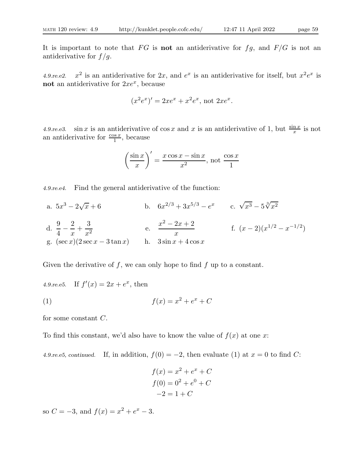It is important to note that FG is **not** an antiderivative for  $fg$ , and  $F/G$  is not an antiderivative for  $f/g$ .

 $4.9$ .re.e2. <sup>2</sup> is an antiderivative for 2x, and  $e^x$  is an antiderivative for itself, but  $x^2e^x$  is not an antiderivative for  $2xe^x$ , because

$$
(x^2e^x)' = 2xe^x + x^2e^x
$$
, not  $2xe^x$ .

4.9. re. e3. sin x is an antiderivative of cos x and x is an antiderivative of 1, but  $\frac{\sin x}{x}$  is not an antiderivative for  $\frac{\cos x}{1}$ , because

$$
\left(\frac{\sin x}{x}\right)' = \frac{x\cos x - \sin x}{x^2}, \text{ not } \frac{\cos x}{1}
$$

4.9.re.e4. Find the general antiderivative of the function:

a.  $5x^3 - 2\sqrt{ }$  $\overline{x} + 6$  b.  $6x^{2/3} + 3x^{5/3} - e^x$  c.  $\sqrt{x^3} - 5\sqrt[3]{x^2}$ d.  $\frac{9}{4}$  $\frac{1}{4}$ 2  $\boldsymbol{x}$  $+$ 3  $x^2$ e.  $x^2 - 2x + 2$  $\frac{2x+2}{x}$  f.  $(x-2)(x^{1/2}-x^{-1/2})$ g.  $(\sec x)(2 \sec x - 3 \tan x)$  h.  $3 \sin x + 4 \cos x$ 

Given the derivative of  $f$ , we can only hope to find  $f$  up to a constant.

4.9.re.e5. If  $f'(x) = 2x + e^x$ , then

$$
(1) \qquad \qquad f(x) = x^2 + e^x + C
$$

for some constant C.

To find this constant, we'd also have to know the value of  $f(x)$  at one x:

4.9.re.e5, continued. If, in addition,  $f(0) = -2$ , then evaluate (1) at  $x = 0$  to find C:

$$
f(x) = x2 + ex + C
$$

$$
f(0) = 02 + e0 + C
$$

$$
-2 = 1 + C
$$

so  $C = -3$ , and  $f(x) = x^2 + e^x - 3$ .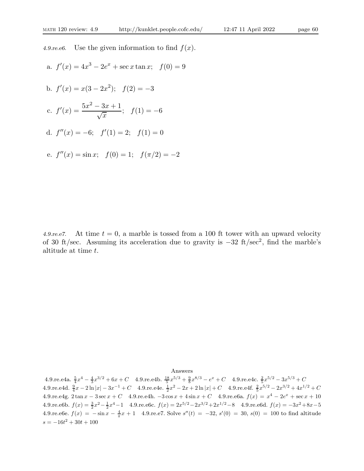4.9.re.e6. Use the given information to find  $f(x)$ .

a.  $f'(x) = 4x^3 - 2e^x + \sec x \tan x$ ;  $f(0) = 9$ 

b. 
$$
f'(x) = x(3 - 2x^2);
$$
  $f(2) = -3$ 

c. 
$$
f'(x) = \frac{5x^2 - 3x + 1}{\sqrt{x}}
$$
;  $f(1) = -6$ 

d.  $f''(x) = -6; \quad f'(1) = 2; \quad f(1) = 0$ 

e. 
$$
f''(x) = \sin x
$$
;  $f(0) = 1$ ;  $f(\pi/2) = -2$ 

4.9.re.e7. At time  $t = 0$ , a marble is tossed from a 100 ft tower with an upward velocity of 30 ft/sec. Assuming its acceleration due to gravity is <sup>−</sup>32 ft/sec<sup>2</sup> , find the marble's altitude at time t.

Answers

4.9.re.e4a.  $\frac{5}{4}x^4 - \frac{4}{3}x^{3/2} + 6x + C$  4.9.re.e4b.  $\frac{18}{5}x^{5/3} + \frac{9}{8}x^{8/3} - e^x + C$  4.9.re.e4c.  $\frac{2}{5}x^{5/2} - 3x^{5/3} + C$ 4.9.re.e4d.  $\frac{9}{4}x - 2\ln|x| - 3x^{-1} + C$  4.9.re.e4e.  $\frac{1}{2}x^2 - 2x + 2\ln|x| + C$  4.9.re.e4f.  $\frac{2}{5}x^{5/2} - 2x^{3/2} + 4x^{1/2} + C$ 4.9.re.e4g. 2 tan  $x - 3 \sec x + C$  4.9.re.e4h.  $-3 \cos x + 4 \sin x + C$  4.9.re.e6a.  $f(x) = x^4 - 2e^x + \sec x + 10$ 4.9.re.e6b.  $f(x) = \frac{3}{2}x^2 - \frac{1}{2}x^4 - 1$  4.9.re.e6c.  $f(x) = 2x^{5/2} - 2x^{3/2} + 2x^{1/2} - 8$  4.9.re.e6d.  $f(x) = -3x^2 + 8x - 5$ 4.9.re.e6e.  $f(x) = -\sin x - \frac{4}{\pi}x + 1$  4.9.re.e7. Solve  $s''(t) = -32$ ,  $s'(0) = 30$ ,  $s(0) = 100$  to find altitude  $s = -16t^2 + 30t + 100$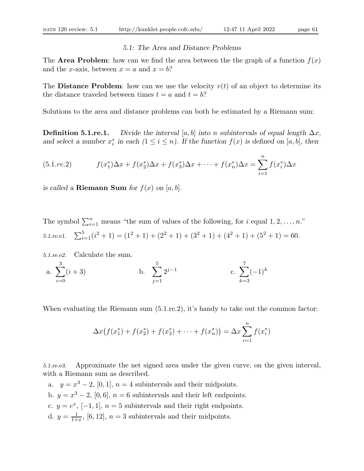## 5.1: The Area and Distance Problems

The **Area Problem**: how can we find the area between the the graph of a function  $f(x)$ and the x-axis, between  $x = a$  and  $x = b$ ?

The **Distance Problem**: how can we use the velocity  $v(t)$  of an object to determine its the distance traveled between times  $t = a$  and  $t = b$ ?

Solutions to the area and distance problems can both be estimated by a Riemann sum:

**Definition 5.1.re.1.** Divide the interval [a, b] into n subintervals of equal length  $\Delta x$ , and select a number  $x_i^*$  in each  $(1 \le i \le n)$ . If the function  $f(x)$  is defined on [a, b], then

(5.1.7e.2) 
$$
f(x_1^*)\Delta x + f(x_2^*)\Delta x + f(x_3^*)\Delta x + \cdots + f(x_n^*)\Delta x = \sum_{i=1}^n f(x_i^*)\Delta x
$$

is called a **Riemann Sum** for  $f(x)$  on  $[a, b]$ .

The symbol  $\sum_{i=1}^{n}$  means "the sum of values of the following, for i equal  $1, 2, ..., n$ ."  $5.1.$ re.e $1.$  $\sum_{i=1}^{5} (i^2 + 1) = (1^2 + 1) + (2^2 + 1) + (3^2 + 1) + (4^2 + 1) + (5^2 + 1) = 60.$ 

5.1.re.e2. Calculate the sum.

a. 
$$
\sum_{i=0}^{3} (i+3)
$$
 b.  $\sum_{j=1}^{5} 2^{j-1}$  c.  $\sum_{k=3}^{7} (-1)^k$ 

When evaluating the Riemann sum  $(5.1 \text{ re.} 2)$ , it's handy to take out the common factor:

$$
\Delta x \big( f(x_1^*) + f(x_2^*) + f(x_3^*) + \dots + f(x_n^*) \big) = \Delta x \sum_{i=1}^n f(x_i^*)
$$

5.1.re.e3. Approximate the net signed area under the given curve, on the given interval, with a Riemann sum as described.

a.  $y = x^3 - 2$ , [0, 1],  $n = 4$  subintervals and their midpoints. b.  $y = x^3 - 2$ , [0, 6],  $n = 6$  subintervals and their left endpoints. c.  $y = e^x$ , [-1, 1],  $n = 5$  subintervals and their right endpoints. d.  $y = \frac{1}{1+}$  $\frac{1}{1+x}$ , [6, 12],  $n=3$  subintervals and their midpoints.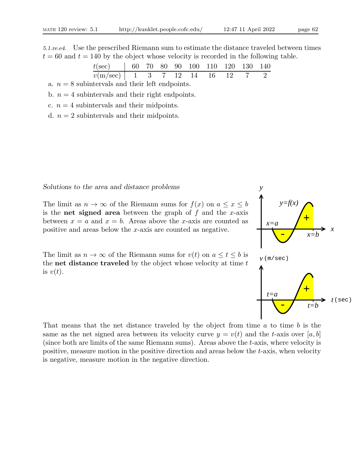| $t$ (sec)  | 60 | 70 | 80 | 90 | 100 | 110 | 120 | 130 | 140 |
|------------|----|----|----|----|-----|-----|-----|-----|-----|
| $v(m/sec)$ | 1  | 3  | 7  | 12 | 14  | 16  | 12  | 7   | 2   |

a.  $n = 8$  subintervals and their left endpoints.

b.  $n = 4$  subintervals and their right endpoints.

c.  $n = 4$  subintervals and their midpoints.

d.  $n = 2$  subintervals and their midpoints.

## Solutions to the area and distance problems

The limit as  $n \to \infty$  of the Riemann sums for  $f(x)$  on  $a \le x \le b$ is the **net signed area** between the graph of  $f$  and the  $x$ -axis between  $x = a$  and  $x = b$ . Areas above the x-axis are counted as positive and areas below the x-axis are counted as negative. *x*

The limit as  $n \to \infty$  of the Riemann sums for  $v(t)$  on  $a \le t \le b$  is the **net distance traveled** by the object whose velocity at time  $t$ is  $v(t)$ .

That means that the net distance traveled by the object from time  $a$  to time  $b$  is the same as the net signed area between its velocity curve  $y = v(t)$  and the t-axis over [a, b] (since both are limits of the same Riemann sums). Areas above the  $t$ -axis, where velocity is positive, measure motion in the positive direction and areas below the t-axis, when velocity is negative, measure motion in the negative direction.

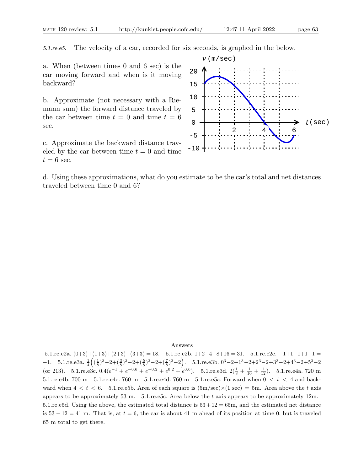5.1.re.e5. The velocity of a car, recorded for six seconds, is graphed in the below.

a. When (between times 0 and 6 sec) is the car moving forward and when is it moving backward?

b. Approximate (not necessary with a Riemann sum) the forward distance traveled by the car between time  $t = 0$  and time  $t = 6$ sec.

c. Approximate the backward distance traveled by the car between time  $t = 0$  and time  $t = 6$  sec.



d. Using these approximations, what do you estimate to be the car's total and net distances traveled between time 0 and 6?

#### Answers

5.1.re.e2a.  $(0+3)+(1+3)+(2+3)+(3+3) = 18.$  5.1.re.e2b.  $1+2+4+8+16 = 31.$  5.1.re.e2c.  $-1+1-1+1-1 =$  $-1. \quad 5.1.$ re.e3a.  $\frac{1}{4} \left( \left( \frac{1}{8} \right)^3 - 2 + \left( \frac{3}{8} \right)^3 - 2 + \left( \frac{7}{8} \right)^3 - 2 \right)$ .  $5.1.$ re.e3b.  $0^3 - 2 + 1^3 - 2 + 2^3 - 2 + 3^3 - 2 + 4^3 - 2 + 5^3 - 2$ (or 213). 5.1.re.e3c.  $0.4(e^{-1} + e^{-0.6} + e^{-0.2} + e^{0.2} + e^{0.6})$ . 5.1.re.e3d.  $2(\frac{1}{8} + \frac{1}{10} + \frac{1}{12})$ . 5.1.re.e4a. 720 m 5.1.re.e4b. 700 m 5.1.re.e4c. 760 m 5.1.re.e4d. 760 m 5.1.re.e5a. Forward when  $0 < t < 4$  and backward when  $4 < t < 6$ . 5.1.re.e5b. Area of each square is  $(5m/sec) \times (1 sec) = 5m$ . Area above the t axis appears to be approximately 53 m.  $5.1$ .re.e5c. Area below the t axis appears to be approximately 12m. 5.1.re.e5d. Using the above, the estimated total distance is  $53 + 12 = 65$ m, and the estimated net distance is  $53 - 12 = 41$  m. That is, at  $t = 6$ , the car is about 41 m ahead of its position at time 0, but is traveled 65 m total to get there.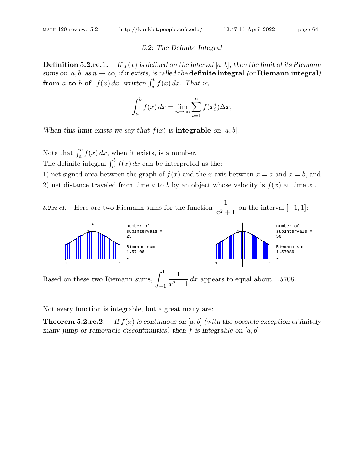#### 5.2: The Definite Integral

**Definition 5.2.re.1.** If  $f(x)$  is defined on the interval [a, b], then the limit of its Riemann sums on [a, b] as  $n \to \infty$ , if it exists, is called the **definite integral** (or **Riemann integral**) from a to b of  $f(x) dx$ , written  $\int_a^b f(x) dx$ . That is,

$$
\int_{a}^{b} f(x) dx = \lim_{n \to \infty} \sum_{i=1}^{n} f(x_i^*) \Delta x,
$$

When this limit exists we say that  $f(x)$  is **integrable** on [a, b].

Note that  $\int_a^b f(x) dx$ , when it exists, is a number. The definite integral  $\int_a^b f(x) dx$  can be interpreted as the: 1) net signed area between the graph of  $f(x)$  and the x-axis between  $x = a$  and  $x = b$ , and 2) net distance traveled from time a to b by an object whose velocity is  $f(x)$  at time x.



Not every function is integrable, but a great many are:

**Theorem 5.2.re.2.** If  $f(x)$  is continuous on [a, b] (with the possible exception of finitely many jump or removable discontinuities) then f is integrable on  $[a, b]$ .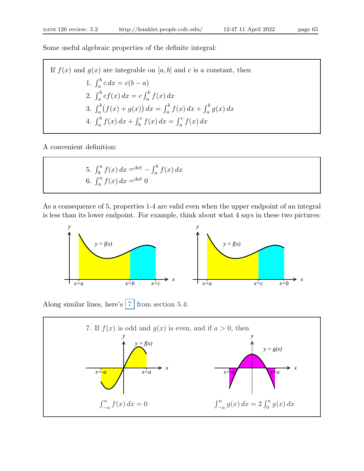Some useful algebraic properties of the definite integral:

If  $f(x)$  and  $g(x)$  are integrable on [a, b] and c is a constant, then 1.  $\int_{a}^{b} c \, dx = c(b - a)$ 2.  $\int_{a}^{b} cf(x) dx = c \int_{a}^{b} f(x) dx$ 3.  $\int_a^b (f(x) + g(x)) dx = \int_a^b f(x) dx + \int_a^b g(x) dx$ 4.  $\int_a^b f(x) dx + \int_b^c f(x) dx = \int_a^c f(x) dx$ 

A convenient definition:

5. 
$$
\int_{b}^{a} f(x) dx = det - \int_{a}^{b} f(x) dx
$$
  
6.  $\int_{a}^{a} f(x) dx = det 0$ 

As a consequence of 5, properties 1-4 are valid even when the upper endpoint of an integral is less than its lower endpoint. For example, think about what 4 says in these two pictures:



Along similar lines, here's  $7 \times 7$  from section 5.4:

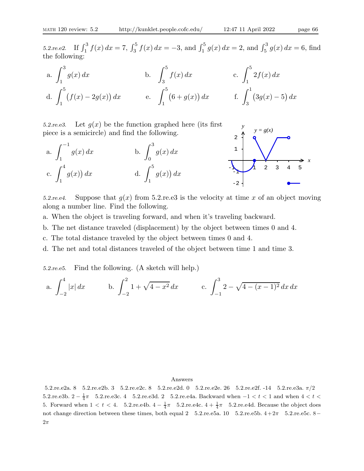5.2.re.e2. If  $\int_1^3 f(x) dx = 7$ ,  $\int_3^5 f(x) dx = -3$ , and  $\int_1^5 g(x) dx = 2$ , and  $\int_5^3 g(x) dx = 6$ , find the following:

a. 
$$
\int_1^3 g(x) dx
$$
  
b.  $\int_3^5 f(x) dx$   
c.  $\int_1^5 2f(x) dx$   
d.  $\int_1^5 (f(x) - 2g(x)) dx$   
e.  $\int_1^5 (6 + g(x)) dx$   
f.  $\int_3^1 (3g(x) - 5) dx$ 

5.2.re.e3. Let  $g(x)$  be the function graphed here (its first piece is a semicircle) and find the following.





5.2.re.e4. Suppose that  $q(x)$  from 5.2.re.e3 is the velocity at time x of an object moving along a number line. Find the following.

a. When the object is traveling forward, and when it's traveling backward.

b. The net distance traveled (displacement) by the object between times 0 and 4.

c. The total distance traveled by the object between times 0 and 4.

d. The net and total distances traveled of the object between time 1 and time 3.

5.2.re.e5. Find the following. (A sketch will help.)

a. 
$$
\int_{-2}^{4} |x| dx
$$
 b.  $\int_{-2}^{2} 1 + \sqrt{4 - x^2} dx$  c.  $\int_{-1}^{3} 2 - \sqrt{4 - (x - 1)^2} dx dx$ 

#### Answers

5.2.re.e2a. 8 5.2.re.e2b. 3 5.2.re.e2c. 8 5.2.re.e2d. 0 5.2.re.e2e. 26 5.2.re.e2f. -14 5.2.re.e3a. π/2 5.2.re.e3b.  $2 - \frac{1}{4}\pi$  5.2.re.e3c. 4 5.2.re.e3d. 2 5.2.re.e4a. Backward when −1 < t < 1 and when  $4 < t$  < 5. Forward when  $1 < t < 4$ . 5.2.re.e4b.  $4 - \frac{1}{4}\pi$  5.2.re.e4c.  $4 + \frac{1}{4}\pi$  5.2.re.e4d. Because the object does not change direction between these times, both equal 2  $5.2$ .re.e5a. 10  $5.2$ .re.e5b.  $4+2\pi$   $5.2$ .re.e5c. 8−  $2\pi$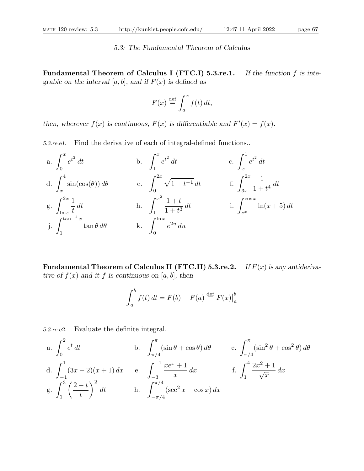## 5.3: The Fundamental Theorem of Calculus

Fundamental Theorem of Calculus I (FTC.I) 5.3.re.1. If the function f is integrable on the interval  $[a, b]$ , and if  $F(x)$  is defined as

$$
F(x) \stackrel{\text{def}}{=} \int_a^x f(t) \, dt,
$$

then, wherever  $f(x)$  is continuous,  $F(x)$  is differentiable and  $F'(x) = f(x)$ .

5.3.re.e1. Find the derivative of each of integral-defined functions..

a. 
$$
\int_0^x e^{t^2} dt
$$
  
\nb.  $\int_1^x e^{t^2} dt$   
\nc.  $\int_x^1 e^{t^2} dt$   
\nd.  $\int_x^4 \sin(\cos(\theta)) d\theta$   
\ne.  $\int_0^{2x} \sqrt{1+t^{-1}} dt$   
\nf.  $\int_{3x}^{2x} \frac{1}{1+t^4} dt$   
\ng.  $\int_{\ln x}^{2x} \frac{1}{t} dt$   
\nh.  $\int_1^{x^2} \frac{1+t}{1+t^3} dt$   
\ni.  $\int_{e^x}^{\cos x} \ln(x+5) dt$   
\nj.  $\int_1^{\tan^{-1}x} \tan \theta d\theta$   
\nk.  $\int_0^{\ln x} e^{2u} du$ 

**Fundamental Theorem of Calculus II (FTC.II) 5.3.re.2.** If  $F(x)$  is any antiderivative of  $f(x)$  and it f is continuous on [a, b], then

$$
\int_a^b f(t) dt = F(b) - F(a) \stackrel{\text{def}}{=} F(x) \Big|_a^b
$$

5.3.re.e2. Evaluate the definite integral.

a. 
$$
\int_0^2 e^t dt
$$
  
b.  $\int_{\pi/4}^{\pi} (\sin \theta + \cos \theta) d\theta$   
c.  $\int_{\pi/4}^{\pi} (\sin^2 \theta + \cos^2 \theta) d\theta$   
d.  $\int_{-1}^1 (3x - 2)(x + 1) dx$   
e.  $\int_{-3}^{-1} \frac{xe^x + 1}{x} dx$   
f.  $\int_1^4 \frac{2x^2 + 1}{\sqrt{x}} dx$   
g.  $\int_1^3 \left(\frac{2 - t}{t}\right)^2 dt$   
h.  $\int_{-\pi/4}^{\pi/4} (\sec^2 x - \cos x) dx$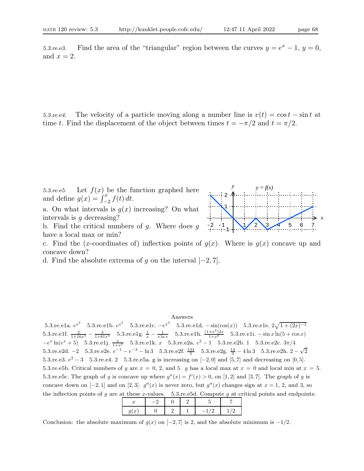5.3.re.e3. Find the area of the "triangular" region between the curves  $y = e^x - 1$ ,  $y = 0$ , and  $x = 2$ .

5.3.re.e4. The velocity of a particle moving along a number line is  $v(t) = \cos t - \sin t$  at time t. Find the displacement of the object between times  $t = -\pi/2$  and  $t = \pi/2$ .

5.3.re.e5. Let  $f(x)$  be the function graphed here and define  $g(x) = \int_{-2}^{x} f(t) dt$ .

a. On what intervals is  $g(x)$  increasing? On what intervals is g decreasing?

b. Find the critical numbers of  $g$ . Where does  $g$ have a local max or min?



c. Find the (x-coordinates of) inflection points of  $g(x)$ . Where is  $g(x)$  concave up and concave down?

d. Find the absolute extrema of g on the interval  $[-2, 7]$ .

#### Answers

5.3.re.e1a.  $e^{x^2}$  5.3.re.e1b.  $e^{x^2}$  5.3.re.e1c. − $e^{x^2}$  5.3.re.e1d. − sin(cos(x)) 5.3.re.e1e.  $2\sqrt{1+(2x)^{-1}}$ 5.3.re.e1f.  $\frac{2}{1+16x^4} - \frac{3}{1+81x^4}$  5.3.re.e1g.  $\frac{1}{x} - \frac{1}{x \ln x}$  5.3.re.e1h.  $\frac{(1+x^2)2x}{1+x^6}$  5.3.re.e1i.  $-\sin x \ln(5 + \cos x)$  $-e^x \ln(e^x+5)$  5.3.re.e1j.  $\frac{x}{1+x^2}$  5.3.re.e1k. x 5.3.re.e2a.  $e^2-1$  5.3.re.e2b. 1 5.3.re.e2c.  $3\pi/4$ 5.3.re.e2d. −2 5.3.re.e2e.  $e^{-1} - e^{-3} - \ln 3$  5.3.re.e2f.  $\frac{134}{5}$  5.3.re.e2g.  $\frac{14}{3} - 4 \ln 3$  5.3.re.e2h.  $2 - \sqrt{2}$ 5.3.re.e3.  $e^2 - 3$  5.3.re.e4. 2 5.3.re.e5a. g is increasing on  $[-2, 0]$  and  $[5, 7]$  and decreasing on  $[0, 5]$ . 5.3.re.e5b. Critical numbers of g are  $x = 0, 2,$  and 5. g has a local max at  $x = 0$  and local min at  $x = 5$ . 5.3.re.e5c. The graph of g is concave up where  $g''(x) = f'(x) > 0$ , on [1,2] and [3,7]. The graph of g is concave down on  $[-2, 1]$  and on  $[2, 3]$ .  $g''(x)$  is never zero, but  $g''(x)$  changes sign at  $x = 1, 2$ , and 3, so the inflection points of  $g$  are at these x-values. 5.3.re.e5d. Compute  $g$  at critical points and endpoints:

| u             |  |   |  |
|---------------|--|---|--|
| ×<br>u<br>. . |  | _ |  |

Conclusion: the absolute maximum of  $g(x)$  on  $[-2, 7]$  is 2, and the absolute minimum is  $-1/2$ .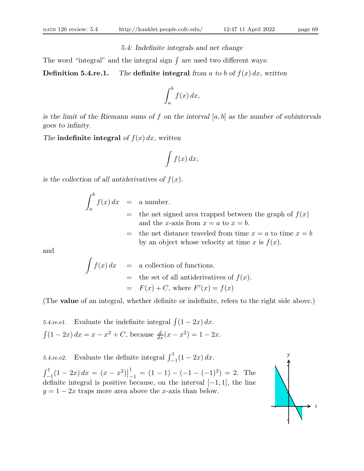### 5.4: Indefinite integrals and net change

The word "integral" and the integral sign  $\int$  are used two different ways:

**Definition 5.4.re.1.** The definite integral from a to b of  $f(x) dx$ , written

$$
\int_a^b f(x) \, dx,
$$

is the limit of the Riemann sums of f on the interval  $[a, b]$  as the number of subintervals goes to infinity.

The indefinite integral of  $f(x) dx$ , written

$$
\int f(x) \, dx,
$$

is the collection of all antiderivatives of  $f(x)$ .

$$
\int_{a}^{b} f(x) dx = \text{a number.}
$$
  
= the net sig

- gned area trapped between the graph of  $f(x)$ and the x-axis from  $x = a$  to  $x = b$ .
- = the net distance traveled from time  $x = a$  to time  $x = b$ by an object whose velocity at time x is  $f(x)$ .

and

$$
\int f(x) dx = \text{a collection of functions.}
$$
  
= the set of all antiderivatives of  $f(x)$ .  
=  $F(x) + C$ , where  $F'(x) = f(x)$ 

(The value of an integral, whether definite or indefinite, refers to the right side above.)

5.4.re.e1. Evaluate the indefinite integral  $\int (1 - 2x) dx$ .  $\int (1 - 2x) dx = x - x^2 + C$ , because  $\frac{d}{dx}(x - x^2) = 1 - 2x$ .

5.4.re.e2. Evaluate the definite integral  $\int_{-1}^{1} (1 - 2x) dx$ .  $\int_{-1}^{1} (1 - 2x) dx = (x - x^2)$ 1  $\frac{1}{n-1} = (1-1) - (-1-(-1)^2) = 2.$  The definite integral is positive because, on the interval [−1, 1], the line  $y = 1 - 2x$  traps more area above the x-axis than below.

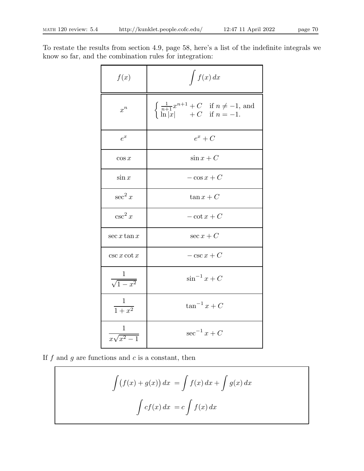To restate the results from section 4.9, page 58, here's a list of the indefinite integrals we know so far, and the combination rules for integration:

| f(x)                      | $\int f(x) dx$                                                                                                               |
|---------------------------|------------------------------------------------------------------------------------------------------------------------------|
| $x^n$                     | $\begin{cases} \frac{1}{n+1}x^{n+1} + C & \text{if } n \neq -1, \text{ and} \\ \ln x  & +C & \text{if } n = -1. \end{cases}$ |
| $e^x$                     | $e^x + C$                                                                                                                    |
| $\cos x$                  | $\sin x + C$                                                                                                                 |
| $\sin x$                  | $-\cos x + C$                                                                                                                |
| $\sec^2 x$                | $\tan x + C$                                                                                                                 |
| $\csc^2 x$                | $-\cot x + C$                                                                                                                |
| $\sec x \tan x$           | $\sec x + C$                                                                                                                 |
| $\csc x \cot x$           | $-\csc x + C$                                                                                                                |
| $\frac{1}{\sqrt{1-x^2}}$  | $\sin^{-1} x + C$                                                                                                            |
| $\frac{1}{1+x^2}$         | $\tan^{-1} x + C$                                                                                                            |
| $\frac{1}{x\sqrt{x^2-1}}$ | $\sec^{-1} x + C$                                                                                                            |

If  $f$  and  $g$  are functions and  $c$  is a constant, then

$$
\int (f(x) + g(x)) dx = \int f(x) dx + \int g(x) dx
$$

$$
\int cf(x) dx = c \int f(x) dx
$$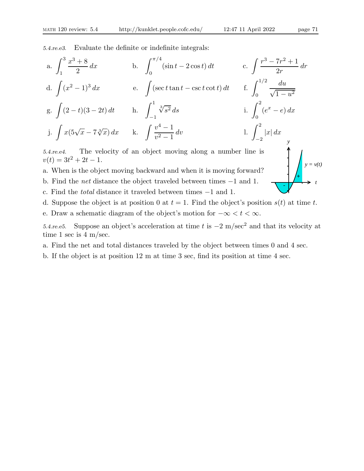5.4.re.e3. Evaluate the definite or indefinite integrals:

a. 
$$
\int_{1}^{3} \frac{x^{3} + 8}{2} dx
$$
  
\nb.  $\int_{0}^{\pi/4} (\sin t - 2 \cos t) dt$   
\nc.  $\int \frac{r^{3} - 7r^{2} + 1}{2r} dr$   
\nd.  $\int (x^{2} - 1)^{3} dx$   
\ne.  $\int (\sec t \tan t - \csc t \cot t) dt$   
\nf.  $\int_{0}^{1/2} \frac{du}{\sqrt{1 - u^{2}}}$   
\ng.  $\int (2 - t)(3 - 2t) dt$   
\nh.  $\int_{-1}^{1} \sqrt[3]{s^{2}} ds$   
\ni.  $\int_{0}^{2} (e^{x} - e) dx$   
\nj.  $\int x(5\sqrt{x} - 7\sqrt[3]{x}) dx$   
\nk.  $\int \frac{v^{4} - 1}{v^{2} - 1} dv$   
\nl.  $\int_{-2}^{2} |x| dx$ 

5.4.re.e4. The velocity of an object moving along a number line is  $v(t) = 3t^2 + 2t - 1.$ 

- a. When is the object moving backward and when it is moving forward?
- b. Find the net distance the object traveled between times −1 and 1.
- c. Find the total distance it traveled between times −1 and 1.
- d. Suppose the object is at position 0 at  $t = 1$ . Find the object's position  $s(t)$  at time t.
- e. Draw a schematic diagram of the object's motion for  $-\infty < t < \infty$ .

5.4.re.e5. Suppose an object's acceleration at time t is  $-2 \text{ m/sec}^2$  and that its velocity at time 1 sec is 4 m/sec.

- a. Find the net and total distances traveled by the object between times 0 and 4 sec.
- b. If the object is at position 12 m at time 3 sec, find its position at time 4 sec.

*t*

 $y = v(t)$ 

+

-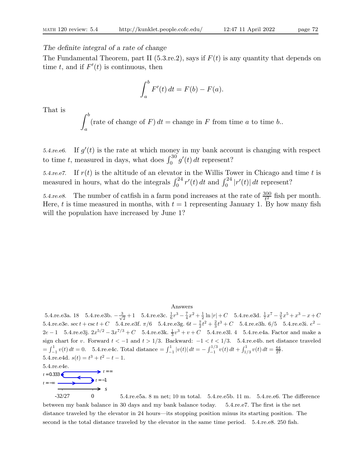The definite integral of a rate of change

 $\Delta h$ 

The Fundamental Theorem, part II (5.3.re.2), says if  $F(t)$  is any quantity that depends on time t, and if  $F'(t)$  is continuous, then

$$
\int_a^b F'(t) dt = F(b) - F(a).
$$

That is

$$
\int_{a}^{b} (\text{rate of change of } F) dt = \text{change in } F \text{ from time } a \text{ to time } b.
$$

5.4.re.e6. If  $g'(t)$  is the rate at which money in my bank account is changing with respect to time t, measured in days, what does  $\int_0^{30} g'(t) dt$  represent?

5.4.re.e7. If  $r(t)$  is the altitude of an elevator in the Willis Tower in Chicago and time t is measured in hours, what do the integrals  $\int_0^{24} r'(t) dt$  and  $\int_0^{24} |r'(t)| dt$  represent?

5.4.re.e8. The number of catfish in a farm pond increases at the rate of  $\frac{300}{t^2}$  fish per month. Here, t is time measured in months, with  $t = 1$  representing January 1. By how many fish will the population have increased by June 1?

#### Answers

5.4.re.e3a. 18 5.4.re.e3b.  $-\frac{3}{\sqrt{2}}$  $\frac{1}{2}+1$  5.4.re.e3c.  $\frac{1}{6}r^3 - \frac{7}{4}x^2 + \frac{1}{2}\ln|r| + C$  5.4.re.e3d.  $\frac{1}{7}x^7 - \frac{3}{5}x^5 + x^3 - x + C$ 5.4.re.e3e. sec  $t + \csc t + C$  5.4.re.e3f.  $\pi/6$  5.4.re.e3g.  $6t - \frac{7}{2}t^2 + \frac{2}{3}t^3 + C$  5.4.re.e3h. 6/5 5.4.re.e3i.  $e^2$  –  $2e-1$  5.4.re.e3j.  $2x^{5/2} - 3x^{7/3} + C$  5.4.re.e3k.  $\frac{1}{3}v^3 + v + C$  5.4.re.e3l. 4 5.4.re.e4a. Factor and make a sign chart for v. Forward  $t < -1$  and  $t > 1/3$ . Backward:  $-1 < t < 1/3$ . 5.4.re.e4b. net distance traveled  $=\int_{-1}^{1} v(t) dt = 0.$  5.4.re.e4c. Total distance  $=\int_{-1}^{1} |v(t)| dt = -\int_{-1}^{1/3} v(t) dt + \int_{1/3}^{1} v(t) dt = \frac{64}{27}.$ 5.4.re.e4d.  $s(t) = t^3 + t^2 - t - 1$ . 5.4.re.e4e. *s t* = −∞  $t = -1$  $t = 0.333$   $\bullet$ 

-32/27 0 5.4.re.e5a. 8 m net; 10 m total. 5.4.re.e5b. 11 m. 5.4.re.e6. The difference between my bank balance in 30 days and my bank balance today. 5.4.re.e7. The first is the net distance traveled by the elevator in 24 hours—its stopping position minus its starting position. The second is the total distance traveled by the elevator in the same time period. 5.4.re.e8. 250 fish.